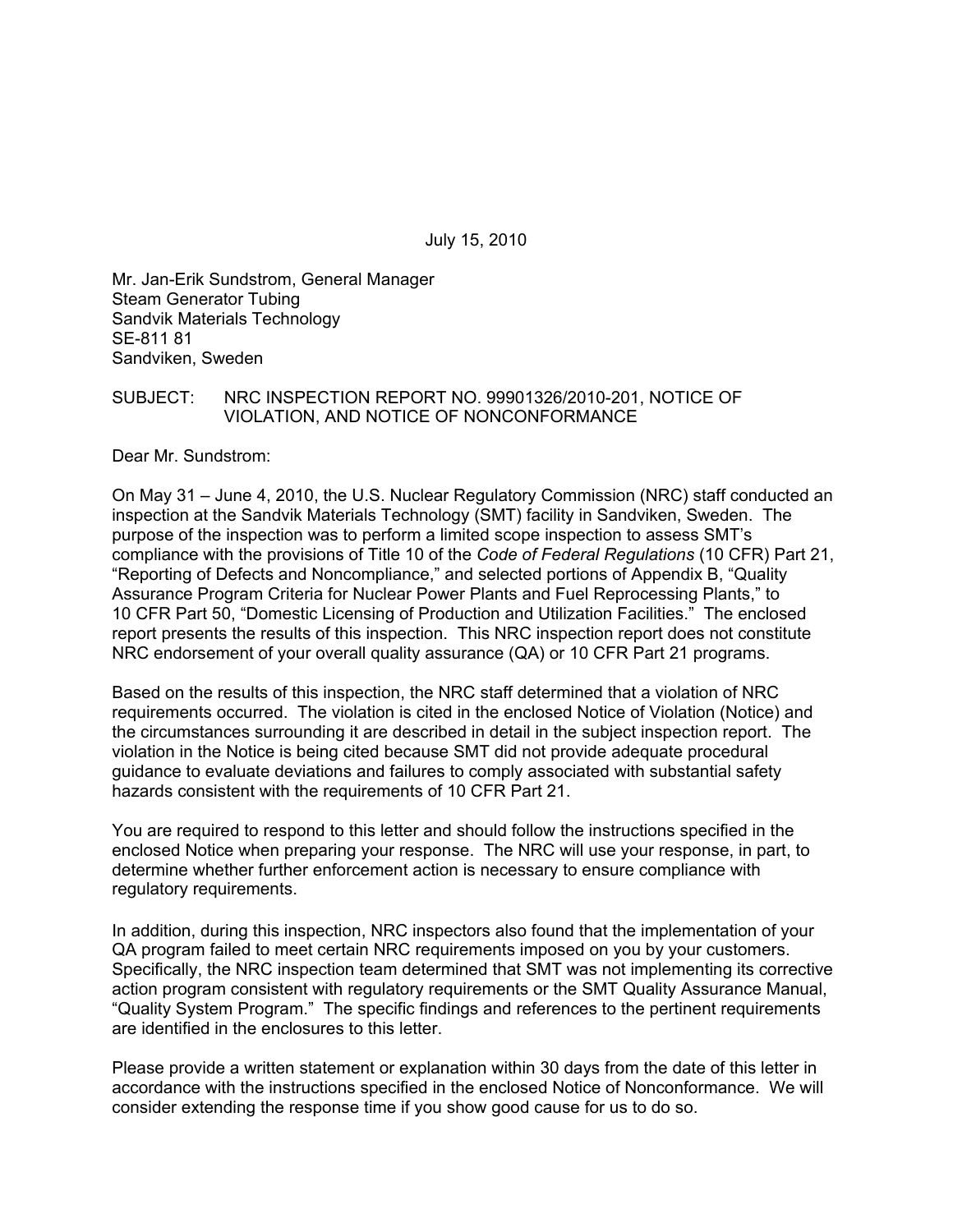July 15, 2010

Mr. Jan-Erik Sundstrom, General Manager Steam Generator Tubing Sandvik Materials Technology SE-811 81 Sandviken, Sweden

#### SUBJECT: NRC INSPECTION REPORT NO. 99901326/2010-201, NOTICE OF VIOLATION, AND NOTICE OF NONCONFORMANCE

Dear Mr. Sundstrom:

On May 31 – June 4, 2010, the U.S. Nuclear Regulatory Commission (NRC) staff conducted an inspection at the Sandvik Materials Technology (SMT) facility in Sandviken, Sweden. The purpose of the inspection was to perform a limited scope inspection to assess SMT's compliance with the provisions of Title 10 of the *Code of Federal Regulations* (10 CFR) Part 21, "Reporting of Defects and Noncompliance," and selected portions of Appendix B, "Quality Assurance Program Criteria for Nuclear Power Plants and Fuel Reprocessing Plants," to 10 CFR Part 50, "Domestic Licensing of Production and Utilization Facilities." The enclosed report presents the results of this inspection. This NRC inspection report does not constitute NRC endorsement of your overall quality assurance (QA) or 10 CFR Part 21 programs.

Based on the results of this inspection, the NRC staff determined that a violation of NRC requirements occurred. The violation is cited in the enclosed Notice of Violation (Notice) and the circumstances surrounding it are described in detail in the subject inspection report. The violation in the Notice is being cited because SMT did not provide adequate procedural guidance to evaluate deviations and failures to comply associated with substantial safety hazards consistent with the requirements of 10 CFR Part 21.

You are required to respond to this letter and should follow the instructions specified in the enclosed Notice when preparing your response. The NRC will use your response, in part, to determine whether further enforcement action is necessary to ensure compliance with regulatory requirements.

In addition, during this inspection, NRC inspectors also found that the implementation of your QA program failed to meet certain NRC requirements imposed on you by your customers. Specifically, the NRC inspection team determined that SMT was not implementing its corrective action program consistent with regulatory requirements or the SMT Quality Assurance Manual, "Quality System Program." The specific findings and references to the pertinent requirements are identified in the enclosures to this letter.

Please provide a written statement or explanation within 30 days from the date of this letter in accordance with the instructions specified in the enclosed Notice of Nonconformance. We will consider extending the response time if you show good cause for us to do so.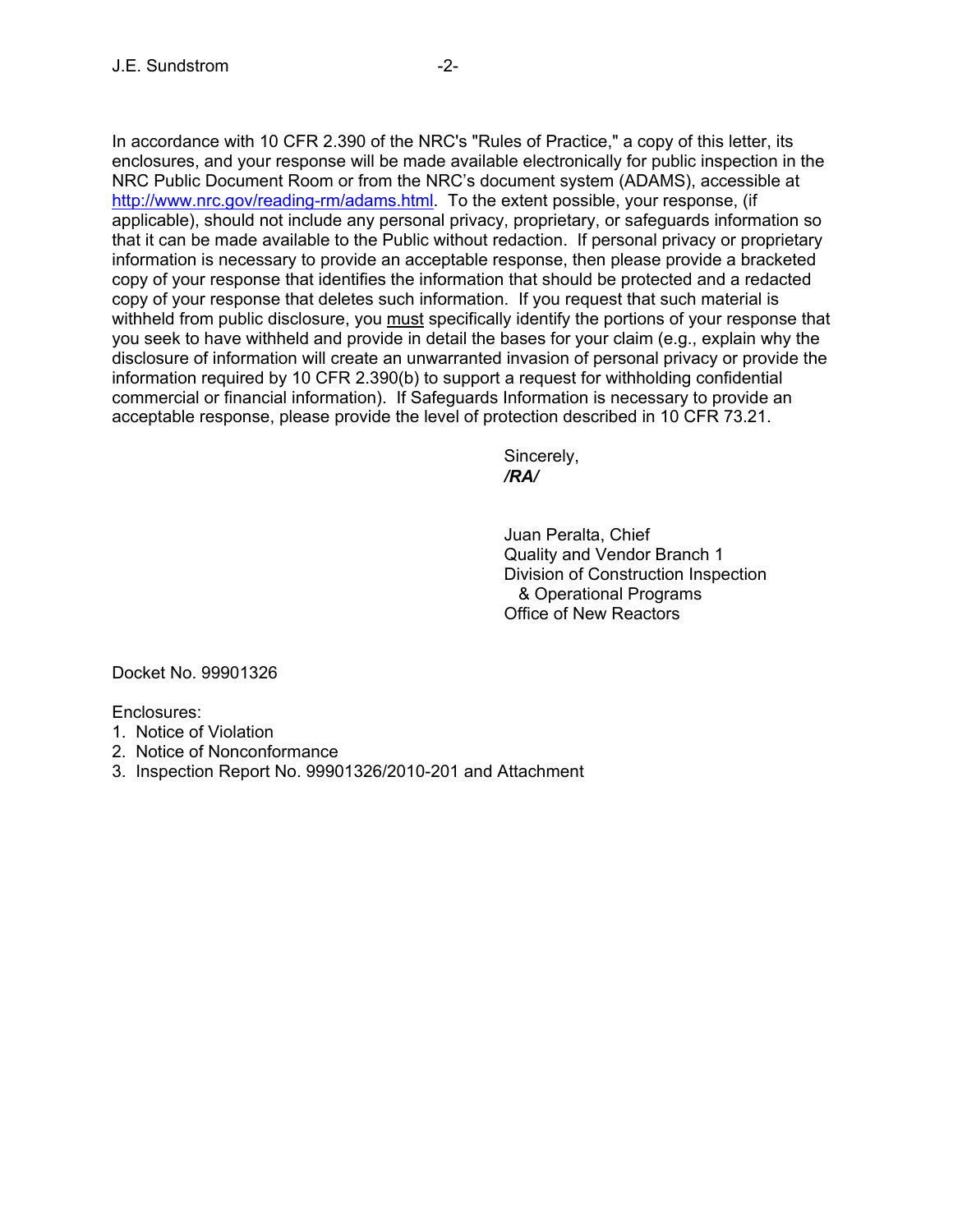In accordance with 10 CFR 2.390 of the NRC's "Rules of Practice," a copy of this letter, its enclosures, and your response will be made available electronically for public inspection in the NRC Public Document Room or from the NRC's document system (ADAMS), accessible at http://www.nrc.gov/reading-rm/adams.html. To the extent possible, your response, (if applicable), should not include any personal privacy, proprietary, or safeguards information so that it can be made available to the Public without redaction. If personal privacy or proprietary information is necessary to provide an acceptable response, then please provide a bracketed copy of your response that identifies the information that should be protected and a redacted copy of your response that deletes such information. If you request that such material is withheld from public disclosure, you must specifically identify the portions of your response that you seek to have withheld and provide in detail the bases for your claim (e.g., explain why the disclosure of information will create an unwarranted invasion of personal privacy or provide the information required by 10 CFR 2.390(b) to support a request for withholding confidential commercial or financial information). If Safeguards Information is necessary to provide an acceptable response, please provide the level of protection described in 10 CFR 73.21.

 Sincerely,  */RA/* 

> Juan Peralta, Chief Quality and Vendor Branch 1 Division of Construction Inspection & Operational Programs Office of New Reactors

Docket No. 99901326

Enclosures:

- 1. Notice of Violation
- 2. Notice of Nonconformance
- 3. Inspection Report No. 99901326/2010-201 and Attachment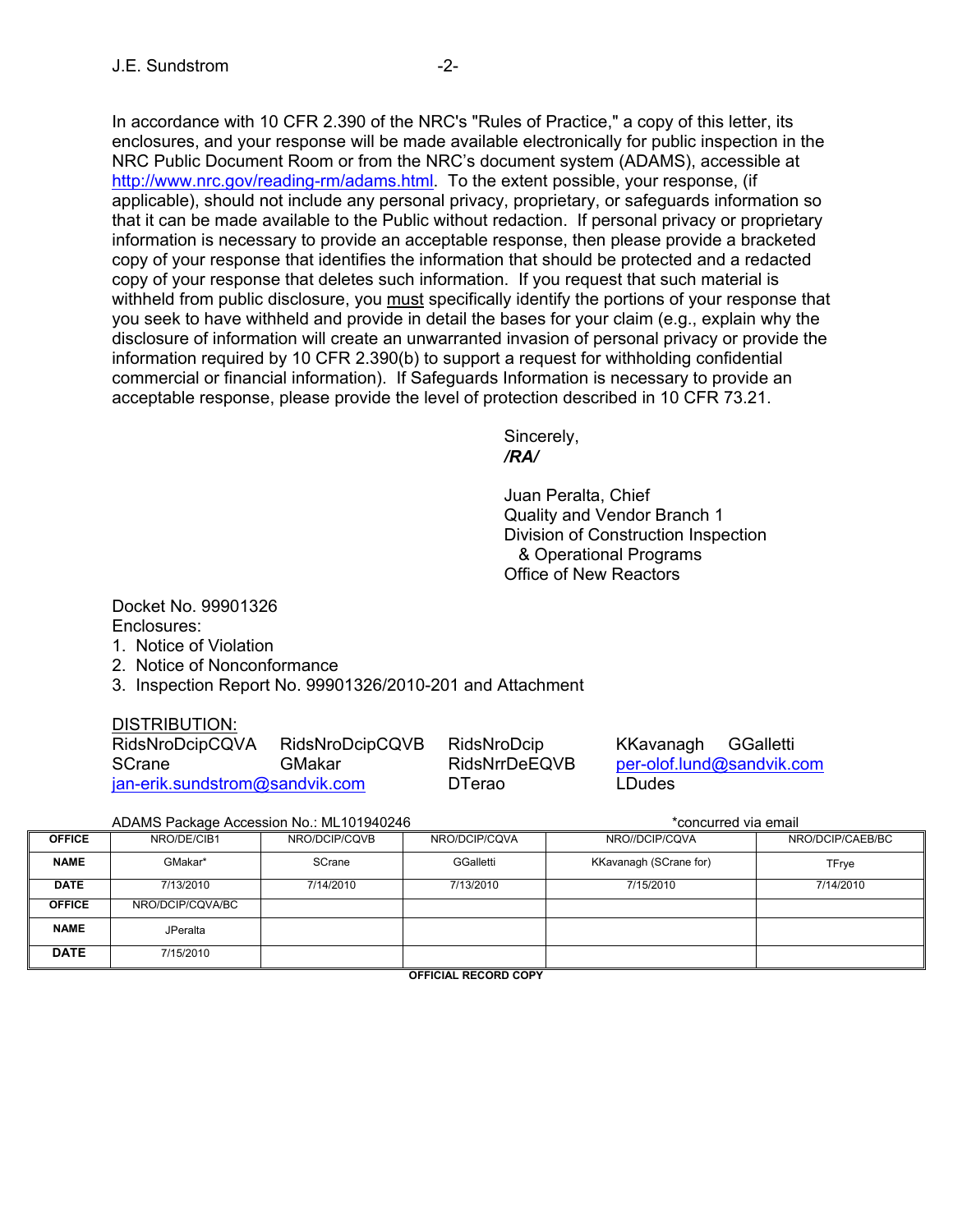In accordance with 10 CFR 2.390 of the NRC's "Rules of Practice," a copy of this letter, its enclosures, and your response will be made available electronically for public inspection in the NRC Public Document Room or from the NRC's document system (ADAMS), accessible at http://www.nrc.gov/reading-rm/adams.html. To the extent possible, your response, (if applicable), should not include any personal privacy, proprietary, or safeguards information so that it can be made available to the Public without redaction. If personal privacy or proprietary information is necessary to provide an acceptable response, then please provide a bracketed copy of your response that identifies the information that should be protected and a redacted copy of your response that deletes such information. If you request that such material is withheld from public disclosure, you must specifically identify the portions of your response that you seek to have withheld and provide in detail the bases for your claim (e.g., explain why the disclosure of information will create an unwarranted invasion of personal privacy or provide the information required by 10 CFR 2.390(b) to support a request for withholding confidential commercial or financial information). If Safeguards Information is necessary to provide an acceptable response, please provide the level of protection described in 10 CFR 73.21.

 Sincerely,  */RA/* 

> Juan Peralta, Chief Quality and Vendor Branch 1 Division of Construction Inspection & Operational Programs Office of New Reactors

Docket No. 99901326 Enclosures:

- 1. Notice of Violation
- 2. Notice of Nonconformance
- 3. Inspection Report No. 99901326/2010-201 and Attachment

### DISTRIBUTION:

| RidsNroDcipCQVA                | RidsNroDcipCQVB | RidsNroDcip   | KKavanagh GGalletti |                           |
|--------------------------------|-----------------|---------------|---------------------|---------------------------|
| <b>SCrane</b>                  | <b>GMakar</b>   | RidsNrrDeEQVB |                     | per-olof.lund@sandvik.com |
| jan-erik.sundstrom@sandvik.com |                 | <b>DTerao</b> | LDudes              |                           |

ADAMS Package Accession No.: ML101940246 \*concurred via email

| <b>OFFICE</b> | NRO/DE/CIB1      | NRO/DCIP/CQVB | NRO/DCIP/CQVA | NRO//DCIP/CQVA         | NRO/DCIP/CAEB/BC |
|---------------|------------------|---------------|---------------|------------------------|------------------|
| <b>NAME</b>   | GMakar*          | SCrane        | GGalletti     | KKavanagh (SCrane for) | <b>TFrye</b>     |
| <b>DATE</b>   | 7/13/2010        | 7/14/2010     | 7/13/2010     | 7/15/2010              | 7/14/2010        |
| <b>OFFICE</b> | NRO/DCIP/CQVA/BC |               |               |                        |                  |
| <b>NAME</b>   | <b>JPeralta</b>  |               |               |                        |                  |
| <b>DATE</b>   | 7/15/2010        |               |               |                        |                  |

**OFFICIAL RECORD COPY**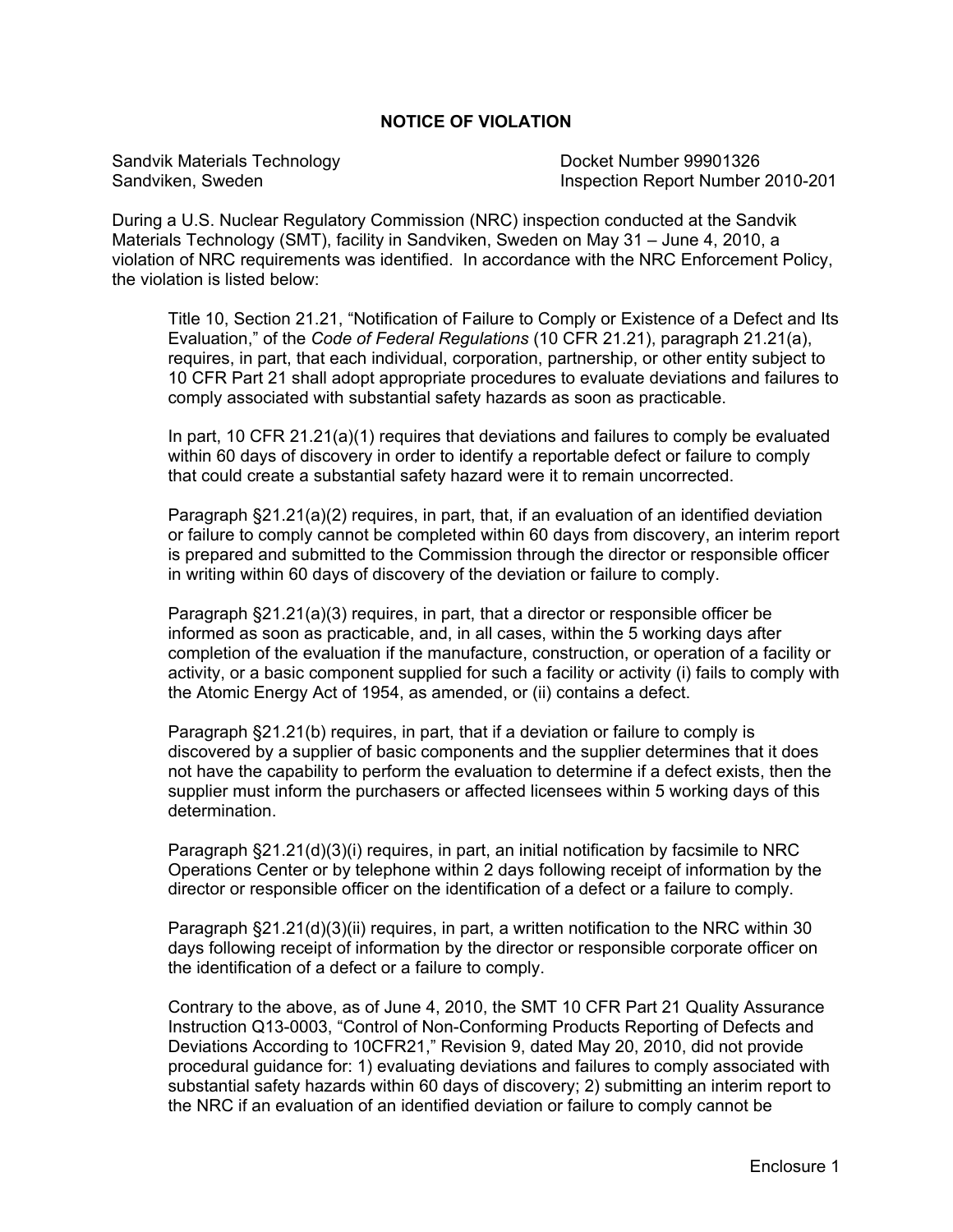#### **NOTICE OF VIOLATION**

Sandvik Materials Technology Docket Number 99901326

Sandviken, Sweden Inspection Report Number 2010-201

During a U.S. Nuclear Regulatory Commission (NRC) inspection conducted at the Sandvik Materials Technology (SMT), facility in Sandviken, Sweden on May 31 – June 4, 2010, a violation of NRC requirements was identified. In accordance with the NRC Enforcement Policy, the violation is listed below:

Title 10, Section 21.21, "Notification of Failure to Comply or Existence of a Defect and Its Evaluation," of the *Code of Federal Regulations* (10 CFR 21.21), paragraph 21.21(a), requires, in part, that each individual, corporation, partnership, or other entity subject to 10 CFR Part 21 shall adopt appropriate procedures to evaluate deviations and failures to comply associated with substantial safety hazards as soon as practicable.

In part, 10 CFR 21.21(a)(1) requires that deviations and failures to comply be evaluated within 60 days of discovery in order to identify a reportable defect or failure to comply that could create a substantial safety hazard were it to remain uncorrected.

Paragraph §21.21(a)(2) requires, in part, that, if an evaluation of an identified deviation or failure to comply cannot be completed within 60 days from discovery, an interim report is prepared and submitted to the Commission through the director or responsible officer in writing within 60 days of discovery of the deviation or failure to comply.

Paragraph §21.21(a)(3) requires, in part, that a director or responsible officer be informed as soon as practicable, and, in all cases, within the 5 working days after completion of the evaluation if the manufacture, construction, or operation of a facility or activity, or a basic component supplied for such a facility or activity (i) fails to comply with the Atomic Energy Act of 1954, as amended, or (ii) contains a defect.

Paragraph §21.21(b) requires, in part, that if a deviation or failure to comply is discovered by a supplier of basic components and the supplier determines that it does not have the capability to perform the evaluation to determine if a defect exists, then the supplier must inform the purchasers or affected licensees within 5 working days of this determination.

Paragraph §21.21(d)(3)(i) requires, in part, an initial notification by facsimile to NRC Operations Center or by telephone within 2 days following receipt of information by the director or responsible officer on the identification of a defect or a failure to comply.

Paragraph §21.21(d)(3)(ii) requires, in part, a written notification to the NRC within 30 days following receipt of information by the director or responsible corporate officer on the identification of a defect or a failure to comply.

Contrary to the above, as of June 4, 2010, the SMT 10 CFR Part 21 Quality Assurance Instruction Q13-0003, "Control of Non-Conforming Products Reporting of Defects and Deviations According to 10CFR21," Revision 9, dated May 20, 2010, did not provide procedural guidance for: 1) evaluating deviations and failures to comply associated with substantial safety hazards within 60 days of discovery; 2) submitting an interim report to the NRC if an evaluation of an identified deviation or failure to comply cannot be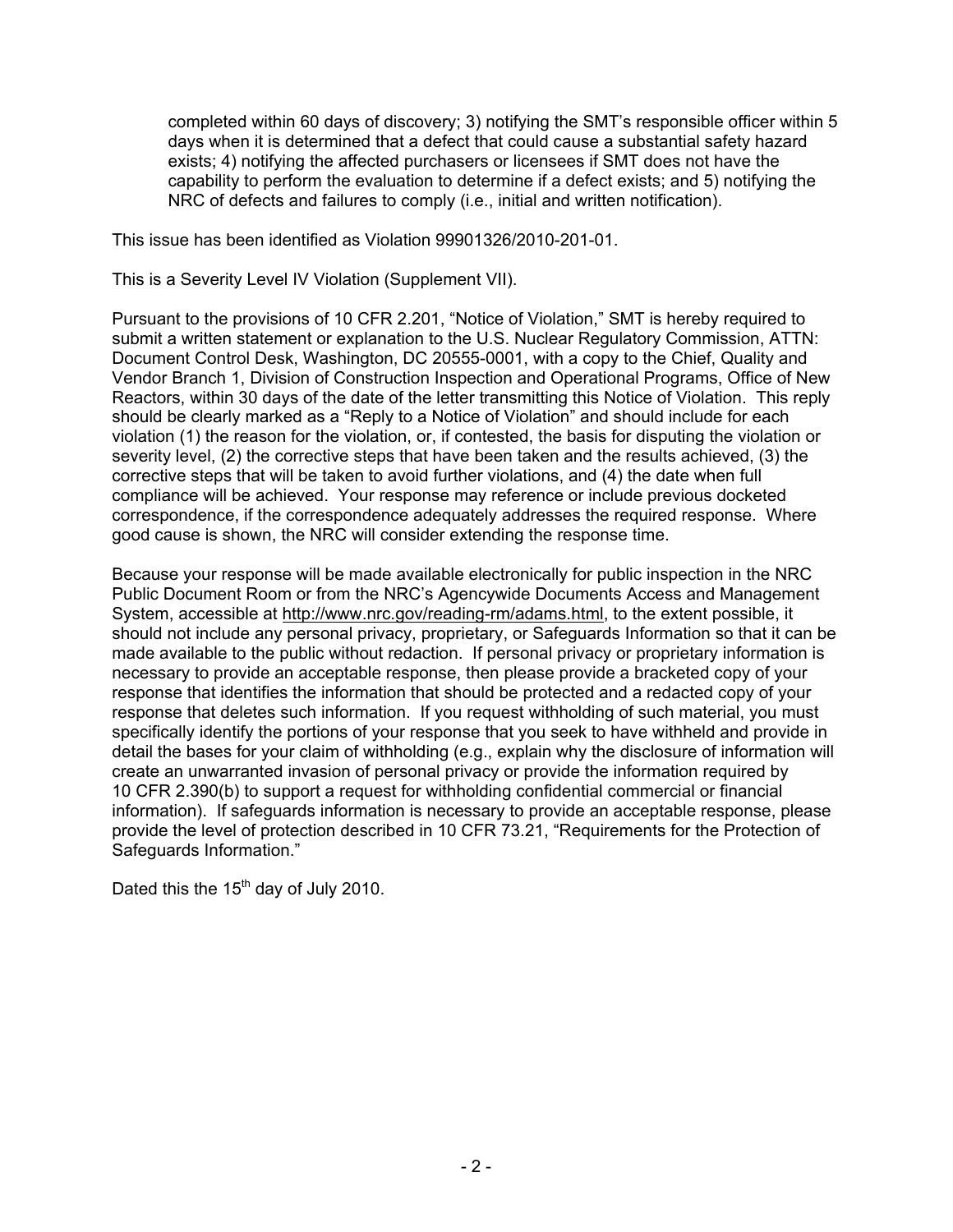completed within 60 days of discovery; 3) notifying the SMT's responsible officer within 5 days when it is determined that a defect that could cause a substantial safety hazard exists; 4) notifying the affected purchasers or licensees if SMT does not have the capability to perform the evaluation to determine if a defect exists; and 5) notifying the NRC of defects and failures to comply (i.e., initial and written notification).

This issue has been identified as Violation 99901326/2010-201-01.

This is a Severity Level IV Violation (Supplement VII).

Pursuant to the provisions of 10 CFR 2.201, "Notice of Violation," SMT is hereby required to submit a written statement or explanation to the U.S. Nuclear Regulatory Commission, ATTN: Document Control Desk, Washington, DC 20555-0001, with a copy to the Chief, Quality and Vendor Branch 1, Division of Construction Inspection and Operational Programs, Office of New Reactors, within 30 days of the date of the letter transmitting this Notice of Violation. This reply should be clearly marked as a "Reply to a Notice of Violation" and should include for each violation (1) the reason for the violation, or, if contested, the basis for disputing the violation or severity level, (2) the corrective steps that have been taken and the results achieved, (3) the corrective steps that will be taken to avoid further violations, and (4) the date when full compliance will be achieved. Your response may reference or include previous docketed correspondence, if the correspondence adequately addresses the required response. Where good cause is shown, the NRC will consider extending the response time.

Because your response will be made available electronically for public inspection in the NRC Public Document Room or from the NRC's Agencywide Documents Access and Management System, accessible at http://www.nrc.gov/reading-rm/adams.html, to the extent possible, it should not include any personal privacy, proprietary, or Safeguards Information so that it can be made available to the public without redaction. If personal privacy or proprietary information is necessary to provide an acceptable response, then please provide a bracketed copy of your response that identifies the information that should be protected and a redacted copy of your response that deletes such information. If you request withholding of such material, you must specifically identify the portions of your response that you seek to have withheld and provide in detail the bases for your claim of withholding (e.g., explain why the disclosure of information will create an unwarranted invasion of personal privacy or provide the information required by 10 CFR 2.390(b) to support a request for withholding confidential commercial or financial information). If safeguards information is necessary to provide an acceptable response, please provide the level of protection described in 10 CFR 73.21, "Requirements for the Protection of Safeguards Information."

Dated this the  $15<sup>th</sup>$  day of July 2010.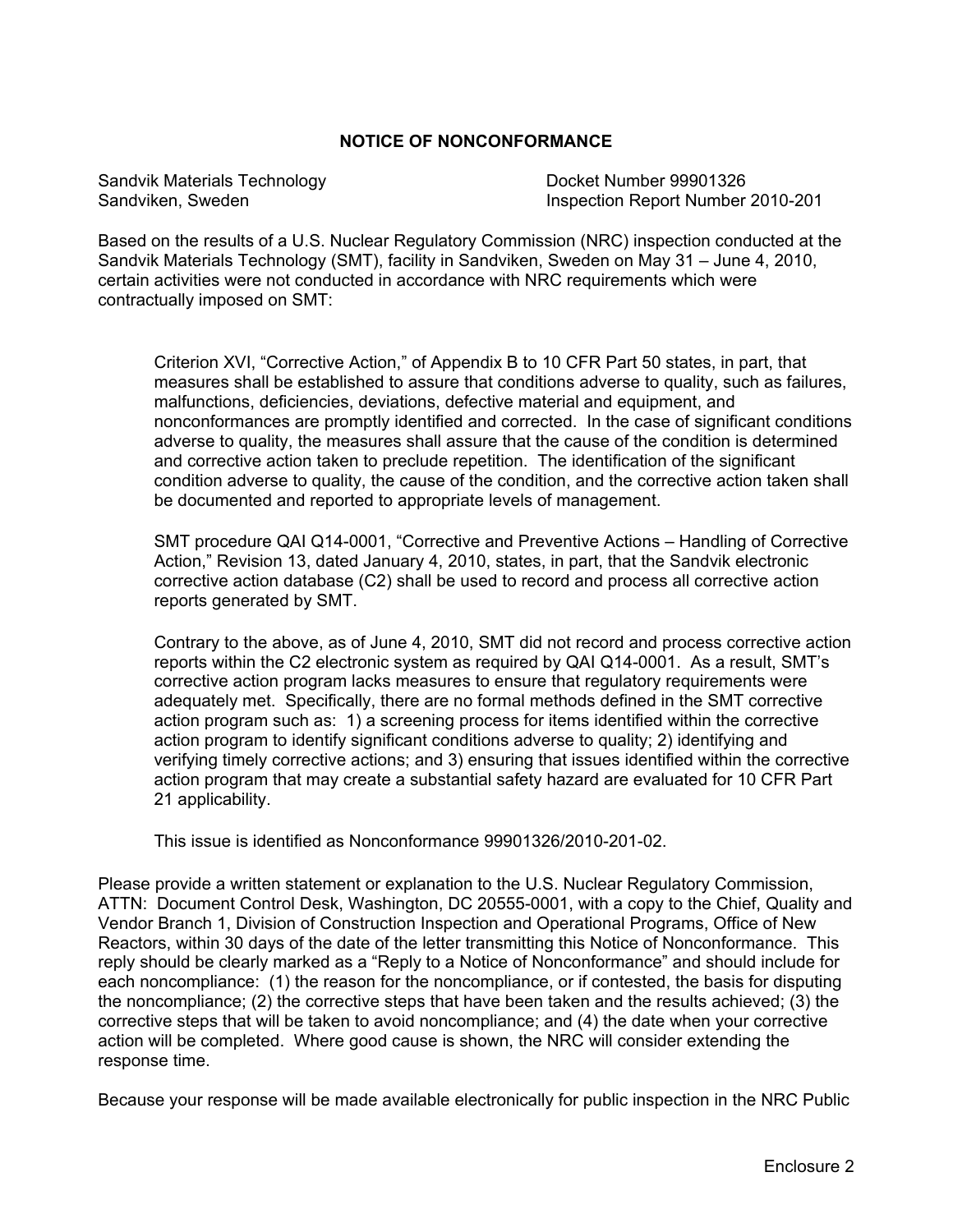#### **NOTICE OF NONCONFORMANCE**

Sandvik Materials Technology **Docket Number 99901326** 

Sandviken, Sweden **Inspection Report Number 2010-201** 

Based on the results of a U.S. Nuclear Regulatory Commission (NRC) inspection conducted at the Sandvik Materials Technology (SMT), facility in Sandviken, Sweden on May 31 – June 4, 2010, certain activities were not conducted in accordance with NRC requirements which were contractually imposed on SMT:

Criterion XVI, "Corrective Action," of Appendix B to 10 CFR Part 50 states, in part, that measures shall be established to assure that conditions adverse to quality, such as failures, malfunctions, deficiencies, deviations, defective material and equipment, and nonconformances are promptly identified and corrected. In the case of significant conditions adverse to quality, the measures shall assure that the cause of the condition is determined and corrective action taken to preclude repetition. The identification of the significant condition adverse to quality, the cause of the condition, and the corrective action taken shall be documented and reported to appropriate levels of management.

SMT procedure QAI Q14-0001, "Corrective and Preventive Actions – Handling of Corrective Action," Revision 13, dated January 4, 2010, states, in part, that the Sandvik electronic corrective action database (C2) shall be used to record and process all corrective action reports generated by SMT.

Contrary to the above, as of June 4, 2010, SMT did not record and process corrective action reports within the C2 electronic system as required by QAI Q14-0001. As a result, SMT's corrective action program lacks measures to ensure that regulatory requirements were adequately met. Specifically, there are no formal methods defined in the SMT corrective action program such as: 1) a screening process for items identified within the corrective action program to identify significant conditions adverse to quality; 2) identifying and verifying timely corrective actions; and 3) ensuring that issues identified within the corrective action program that may create a substantial safety hazard are evaluated for 10 CFR Part 21 applicability.

This issue is identified as Nonconformance 99901326/2010-201-02.

Please provide a written statement or explanation to the U.S. Nuclear Regulatory Commission, ATTN: Document Control Desk, Washington, DC 20555-0001, with a copy to the Chief, Quality and Vendor Branch 1, Division of Construction Inspection and Operational Programs, Office of New Reactors, within 30 days of the date of the letter transmitting this Notice of Nonconformance. This reply should be clearly marked as a "Reply to a Notice of Nonconformance" and should include for each noncompliance: (1) the reason for the noncompliance, or if contested, the basis for disputing the noncompliance; (2) the corrective steps that have been taken and the results achieved; (3) the corrective steps that will be taken to avoid noncompliance; and (4) the date when your corrective action will be completed. Where good cause is shown, the NRC will consider extending the response time.

Because your response will be made available electronically for public inspection in the NRC Public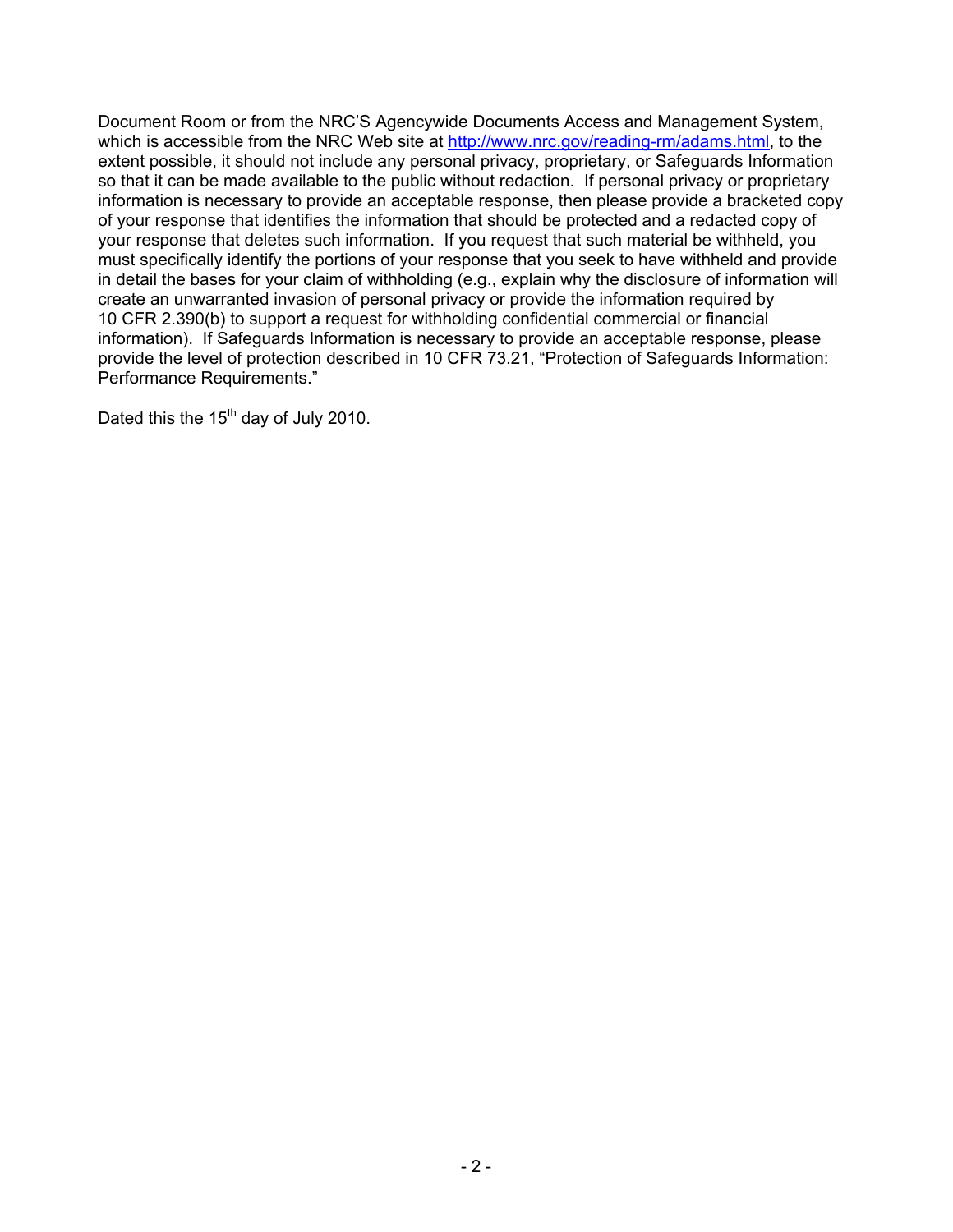Document Room or from the NRC'S Agencywide Documents Access and Management System, which is accessible from the NRC Web site at http://www.nrc.gov/reading-rm/adams.html, to the extent possible, it should not include any personal privacy, proprietary, or Safeguards Information so that it can be made available to the public without redaction. If personal privacy or proprietary information is necessary to provide an acceptable response, then please provide a bracketed copy of your response that identifies the information that should be protected and a redacted copy of your response that deletes such information. If you request that such material be withheld, you must specifically identify the portions of your response that you seek to have withheld and provide in detail the bases for your claim of withholding (e.g., explain why the disclosure of information will create an unwarranted invasion of personal privacy or provide the information required by 10 CFR 2.390(b) to support a request for withholding confidential commercial or financial information). If Safeguards Information is necessary to provide an acceptable response, please provide the level of protection described in 10 CFR 73.21, "Protection of Safeguards Information: Performance Requirements."

Dated this the 15<sup>th</sup> day of July 2010.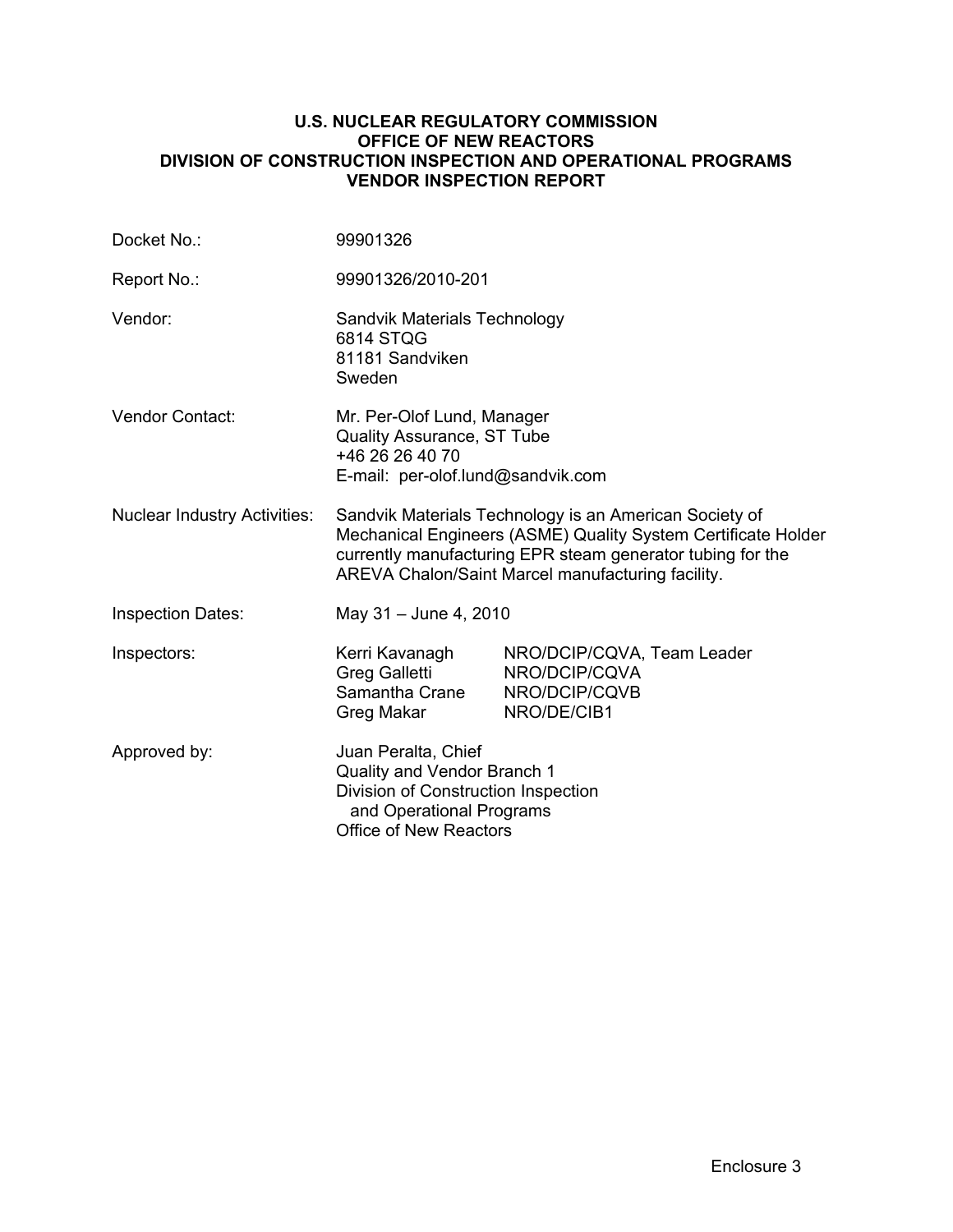#### **U.S. NUCLEAR REGULATORY COMMISSION OFFICE OF NEW REACTORS DIVISION OF CONSTRUCTION INSPECTION AND OPERATIONAL PROGRAMS VENDOR INSPECTION REPORT**

| Docket No.:                         | 99901326                                                                                                                                                                                                                                   |                                                                             |  |
|-------------------------------------|--------------------------------------------------------------------------------------------------------------------------------------------------------------------------------------------------------------------------------------------|-----------------------------------------------------------------------------|--|
| Report No.:                         | 99901326/2010-201                                                                                                                                                                                                                          |                                                                             |  |
| Vendor:                             | Sandvik Materials Technology<br>6814 STQG<br>81181 Sandviken<br>Sweden                                                                                                                                                                     |                                                                             |  |
| Vendor Contact:                     | Mr. Per-Olof Lund, Manager<br><b>Quality Assurance, ST Tube</b><br>+46 26 26 40 70<br>E-mail: per-olof.lund@sandvik.com                                                                                                                    |                                                                             |  |
| <b>Nuclear Industry Activities:</b> | Sandvik Materials Technology is an American Society of<br>Mechanical Engineers (ASME) Quality System Certificate Holder<br>currently manufacturing EPR steam generator tubing for the<br>AREVA Chalon/Saint Marcel manufacturing facility. |                                                                             |  |
| <b>Inspection Dates:</b>            | May 31 - June 4, 2010                                                                                                                                                                                                                      |                                                                             |  |
| Inspectors:                         | Kerri Kavanagh<br><b>Greg Galletti</b><br>Samantha Crane<br>Greg Makar                                                                                                                                                                     | NRO/DCIP/CQVA, Team Leader<br>NRO/DCIP/CQVA<br>NRO/DCIP/CQVB<br>NRO/DE/CIB1 |  |
| Approved by:                        | Juan Peralta, Chief<br>Quality and Vendor Branch 1<br>Division of Construction Inspection<br>and Operational Programs<br><b>Office of New Reactors</b>                                                                                     |                                                                             |  |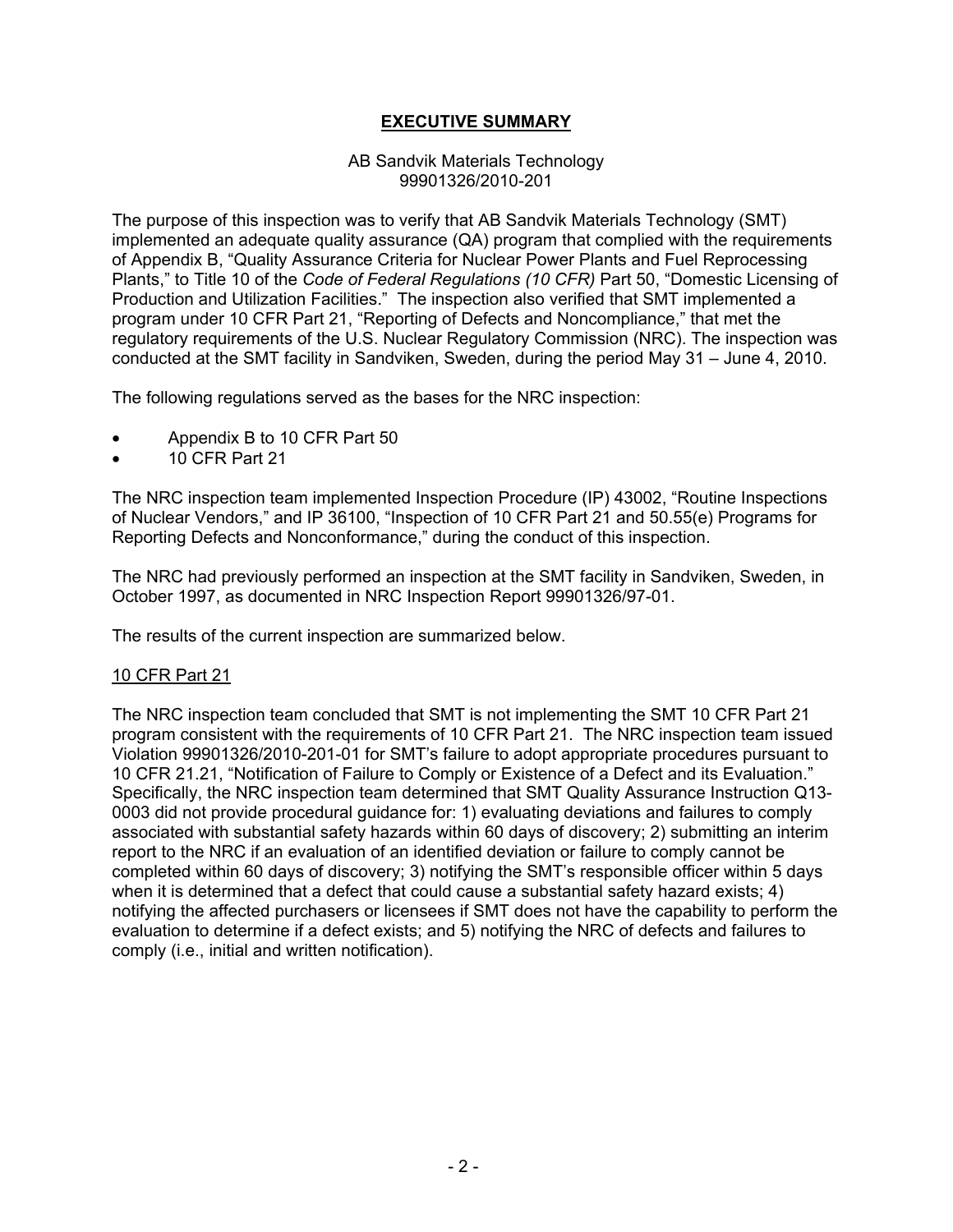### **EXECUTIVE SUMMARY**

#### AB Sandvik Materials Technology 99901326/2010-201

The purpose of this inspection was to verify that AB Sandvik Materials Technology (SMT) implemented an adequate quality assurance (QA) program that complied with the requirements of Appendix B, "Quality Assurance Criteria for Nuclear Power Plants and Fuel Reprocessing Plants," to Title 10 of the *Code of Federal Regulations (10 CFR)* Part 50, "Domestic Licensing of Production and Utilization Facilities." The inspection also verified that SMT implemented a program under 10 CFR Part 21, "Reporting of Defects and Noncompliance," that met the regulatory requirements of the U.S. Nuclear Regulatory Commission (NRC). The inspection was conducted at the SMT facility in Sandviken, Sweden, during the period May 31 – June 4, 2010.

The following regulations served as the bases for the NRC inspection:

- Appendix B to 10 CFR Part 50
- 10 CFR Part 21

The NRC inspection team implemented Inspection Procedure (IP) 43002, "Routine Inspections of Nuclear Vendors," and IP 36100, "Inspection of 10 CFR Part 21 and 50.55(e) Programs for Reporting Defects and Nonconformance," during the conduct of this inspection.

The NRC had previously performed an inspection at the SMT facility in Sandviken, Sweden, in October 1997, as documented in NRC Inspection Report 99901326/97-01.

The results of the current inspection are summarized below.

### 10 CFR Part 21

The NRC inspection team concluded that SMT is not implementing the SMT 10 CFR Part 21 program consistent with the requirements of 10 CFR Part 21. The NRC inspection team issued Violation 99901326/2010-201-01 for SMT's failure to adopt appropriate procedures pursuant to 10 CFR 21.21, "Notification of Failure to Comply or Existence of a Defect and its Evaluation." Specifically, the NRC inspection team determined that SMT Quality Assurance Instruction Q13- 0003 did not provide procedural guidance for: 1) evaluating deviations and failures to comply associated with substantial safety hazards within 60 days of discovery; 2) submitting an interim report to the NRC if an evaluation of an identified deviation or failure to comply cannot be completed within 60 days of discovery; 3) notifying the SMT's responsible officer within 5 days when it is determined that a defect that could cause a substantial safety hazard exists; 4) notifying the affected purchasers or licensees if SMT does not have the capability to perform the evaluation to determine if a defect exists; and 5) notifying the NRC of defects and failures to comply (i.e., initial and written notification).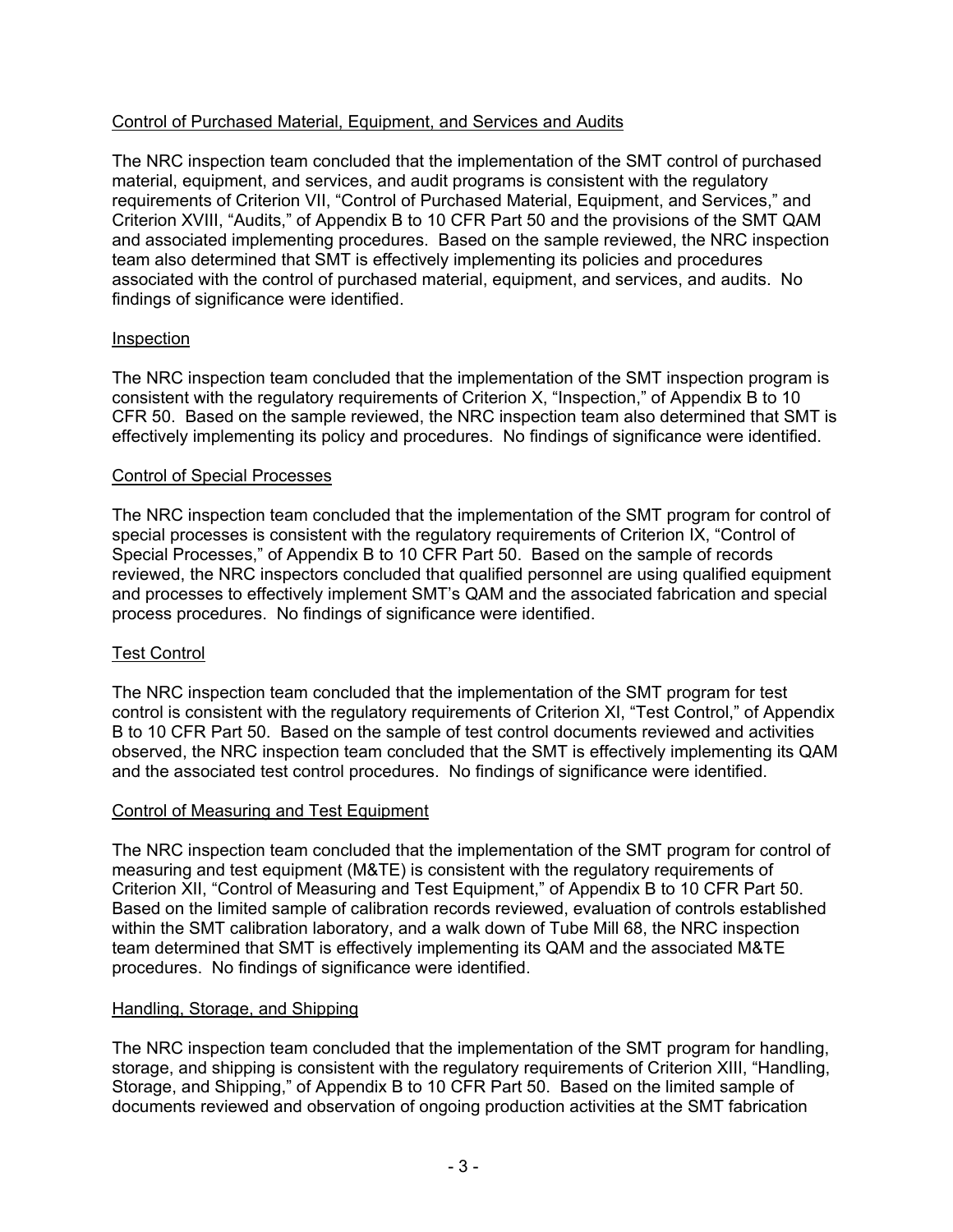### Control of Purchased Material, Equipment, and Services and Audits

The NRC inspection team concluded that the implementation of the SMT control of purchased material, equipment, and services, and audit programs is consistent with the regulatory requirements of Criterion VII, "Control of Purchased Material, Equipment, and Services," and Criterion XVIII, "Audits," of Appendix B to 10 CFR Part 50 and the provisions of the SMT QAM and associated implementing procedures. Based on the sample reviewed, the NRC inspection team also determined that SMT is effectively implementing its policies and procedures associated with the control of purchased material, equipment, and services, and audits. No findings of significance were identified.

### Inspection

The NRC inspection team concluded that the implementation of the SMT inspection program is consistent with the regulatory requirements of Criterion X, "Inspection," of Appendix B to 10 CFR 50. Based on the sample reviewed, the NRC inspection team also determined that SMT is effectively implementing its policy and procedures. No findings of significance were identified.

#### Control of Special Processes

The NRC inspection team concluded that the implementation of the SMT program for control of special processes is consistent with the regulatory requirements of Criterion IX, "Control of Special Processes," of Appendix B to 10 CFR Part 50. Based on the sample of records reviewed, the NRC inspectors concluded that qualified personnel are using qualified equipment and processes to effectively implement SMT's QAM and the associated fabrication and special process procedures. No findings of significance were identified.

### Test Control

The NRC inspection team concluded that the implementation of the SMT program for test control is consistent with the regulatory requirements of Criterion XI, "Test Control," of Appendix B to 10 CFR Part 50. Based on the sample of test control documents reviewed and activities observed, the NRC inspection team concluded that the SMT is effectively implementing its QAM and the associated test control procedures. No findings of significance were identified.

### Control of Measuring and Test Equipment

The NRC inspection team concluded that the implementation of the SMT program for control of measuring and test equipment (M&TE) is consistent with the regulatory requirements of Criterion XII, "Control of Measuring and Test Equipment," of Appendix B to 10 CFR Part 50. Based on the limited sample of calibration records reviewed, evaluation of controls established within the SMT calibration laboratory, and a walk down of Tube Mill 68, the NRC inspection team determined that SMT is effectively implementing its QAM and the associated M&TE procedures. No findings of significance were identified.

### Handling, Storage, and Shipping

The NRC inspection team concluded that the implementation of the SMT program for handling, storage, and shipping is consistent with the regulatory requirements of Criterion XIII, "Handling, Storage, and Shipping," of Appendix B to 10 CFR Part 50. Based on the limited sample of documents reviewed and observation of ongoing production activities at the SMT fabrication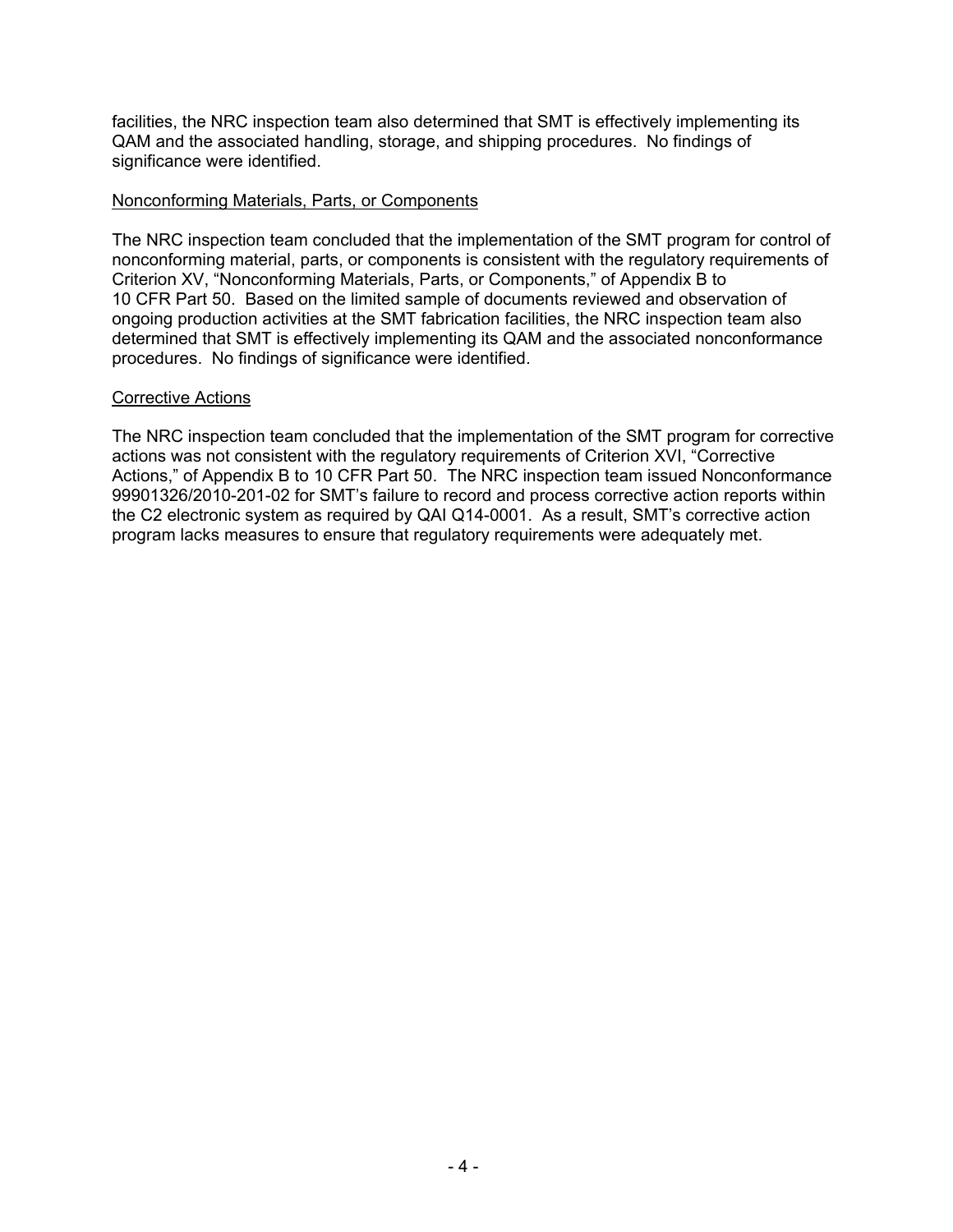facilities, the NRC inspection team also determined that SMT is effectively implementing its QAM and the associated handling, storage, and shipping procedures. No findings of significance were identified.

#### Nonconforming Materials, Parts, or Components

The NRC inspection team concluded that the implementation of the SMT program for control of nonconforming material, parts, or components is consistent with the regulatory requirements of Criterion XV, "Nonconforming Materials, Parts, or Components," of Appendix B to 10 CFR Part 50. Based on the limited sample of documents reviewed and observation of ongoing production activities at the SMT fabrication facilities, the NRC inspection team also determined that SMT is effectively implementing its QAM and the associated nonconformance procedures. No findings of significance were identified.

#### Corrective Actions

The NRC inspection team concluded that the implementation of the SMT program for corrective actions was not consistent with the regulatory requirements of Criterion XVI, "Corrective Actions," of Appendix B to 10 CFR Part 50. The NRC inspection team issued Nonconformance 99901326/2010-201-02 for SMT's failure to record and process corrective action reports within the C2 electronic system as required by QAI Q14-0001. As a result, SMT's corrective action program lacks measures to ensure that regulatory requirements were adequately met.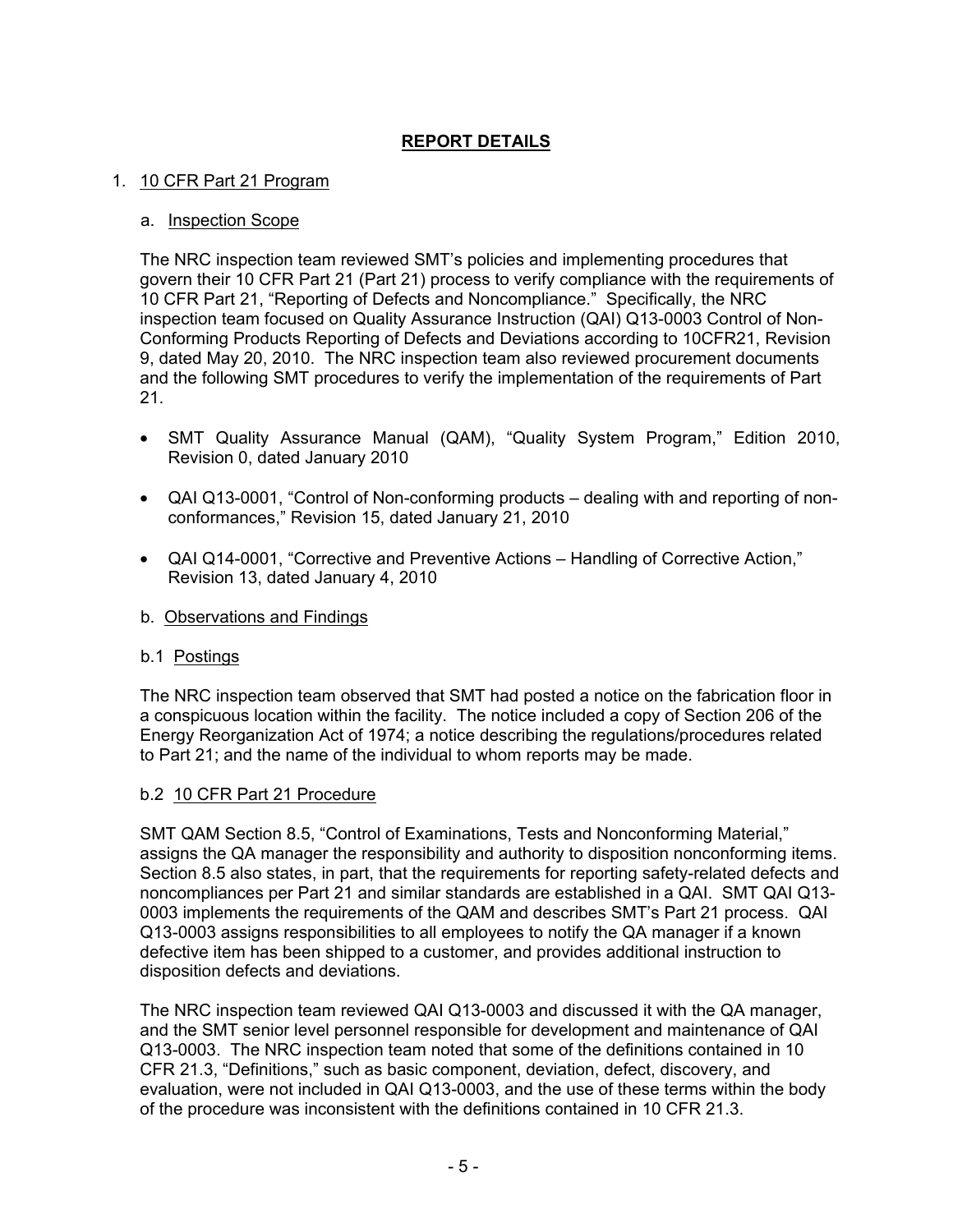## **REPORT DETAILS**

### 1. 10 CFR Part 21 Program

#### a. Inspection Scope

The NRC inspection team reviewed SMT's policies and implementing procedures that govern their 10 CFR Part 21 (Part 21) process to verify compliance with the requirements of 10 CFR Part 21, "Reporting of Defects and Noncompliance." Specifically, the NRC inspection team focused on Quality Assurance Instruction (QAI) Q13-0003 Control of Non-Conforming Products Reporting of Defects and Deviations according to 10CFR21, Revision 9, dated May 20, 2010. The NRC inspection team also reviewed procurement documents and the following SMT procedures to verify the implementation of the requirements of Part 21.

- SMT Quality Assurance Manual (QAM), "Quality System Program," Edition 2010, Revision 0, dated January 2010
- QAI Q13-0001, "Control of Non-conforming products dealing with and reporting of nonconformances," Revision 15, dated January 21, 2010
- QAI Q14-0001, "Corrective and Preventive Actions Handling of Corrective Action," Revision 13, dated January 4, 2010
- b. Observations and Findings

#### b.1 Postings

The NRC inspection team observed that SMT had posted a notice on the fabrication floor in a conspicuous location within the facility. The notice included a copy of Section 206 of the Energy Reorganization Act of 1974; a notice describing the regulations/procedures related to Part 21; and the name of the individual to whom reports may be made.

### b.2 10 CFR Part 21 Procedure

SMT QAM Section 8.5, "Control of Examinations, Tests and Nonconforming Material," assigns the QA manager the responsibility and authority to disposition nonconforming items. Section 8.5 also states, in part, that the requirements for reporting safety-related defects and noncompliances per Part 21 and similar standards are established in a QAI. SMT QAI Q13- 0003 implements the requirements of the QAM and describes SMT's Part 21 process. QAI Q13-0003 assigns responsibilities to all employees to notify the QA manager if a known defective item has been shipped to a customer, and provides additional instruction to disposition defects and deviations.

The NRC inspection team reviewed QAI Q13-0003 and discussed it with the QA manager, and the SMT senior level personnel responsible for development and maintenance of QAI Q13-0003. The NRC inspection team noted that some of the definitions contained in 10 CFR 21.3, "Definitions," such as basic component, deviation, defect, discovery, and evaluation, were not included in QAI Q13-0003, and the use of these terms within the body of the procedure was inconsistent with the definitions contained in 10 CFR 21.3.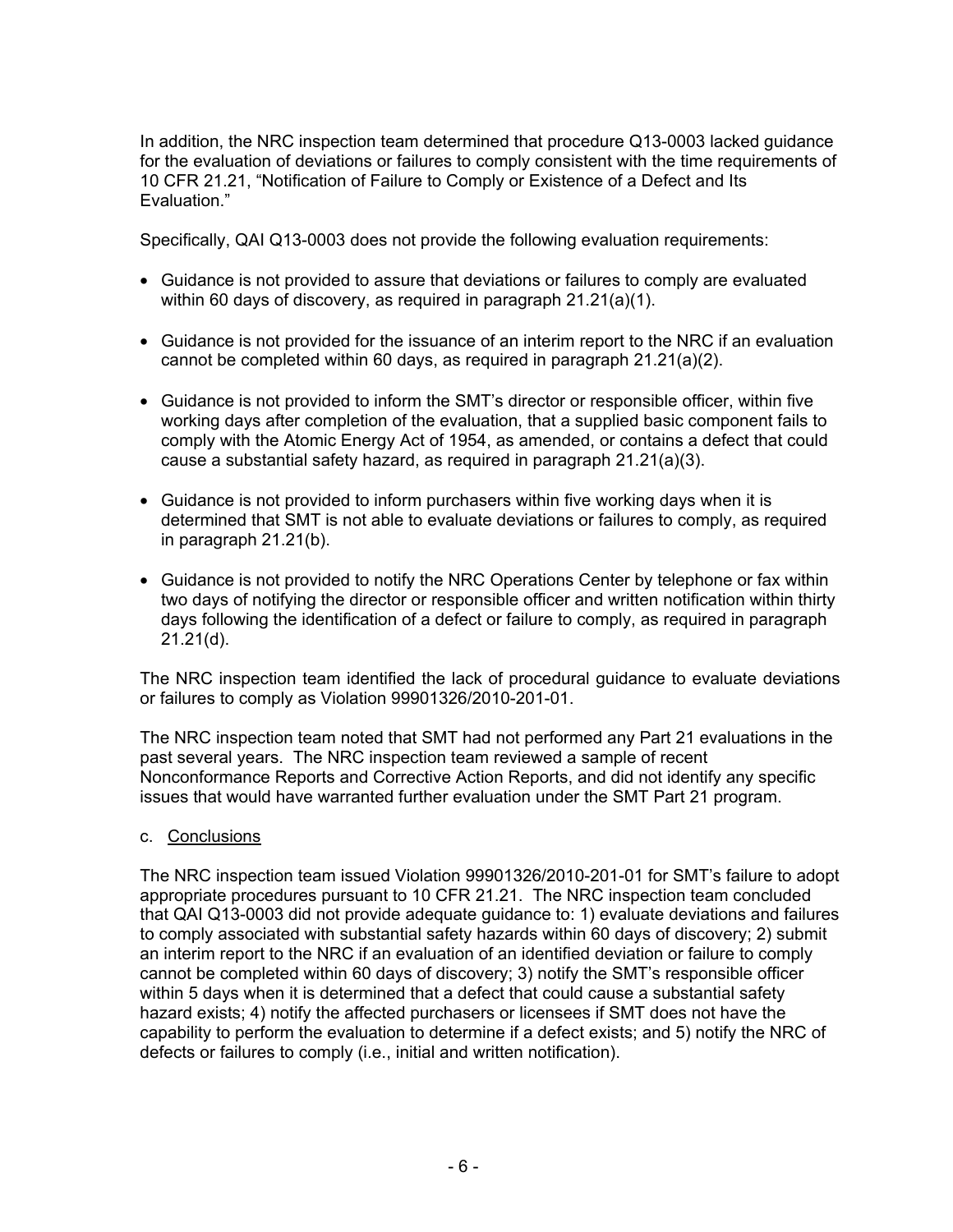In addition, the NRC inspection team determined that procedure Q13-0003 lacked guidance for the evaluation of deviations or failures to comply consistent with the time requirements of 10 CFR 21.21, "Notification of Failure to Comply or Existence of a Defect and Its Evaluation."

Specifically, QAI Q13-0003 does not provide the following evaluation requirements:

- Guidance is not provided to assure that deviations or failures to comply are evaluated within 60 days of discovery, as required in paragraph 21.21(a)(1).
- Guidance is not provided for the issuance of an interim report to the NRC if an evaluation cannot be completed within 60 days, as required in paragraph 21.21(a)(2).
- Guidance is not provided to inform the SMT's director or responsible officer, within five working days after completion of the evaluation, that a supplied basic component fails to comply with the Atomic Energy Act of 1954, as amended, or contains a defect that could cause a substantial safety hazard, as required in paragraph 21.21(a)(3).
- Guidance is not provided to inform purchasers within five working days when it is determined that SMT is not able to evaluate deviations or failures to comply, as required in paragraph 21.21(b).
- Guidance is not provided to notify the NRC Operations Center by telephone or fax within two days of notifying the director or responsible officer and written notification within thirty days following the identification of a defect or failure to comply, as required in paragraph 21.21(d).

The NRC inspection team identified the lack of procedural guidance to evaluate deviations or failures to comply as Violation 99901326/2010-201-01.

The NRC inspection team noted that SMT had not performed any Part 21 evaluations in the past several years. The NRC inspection team reviewed a sample of recent Nonconformance Reports and Corrective Action Reports, and did not identify any specific issues that would have warranted further evaluation under the SMT Part 21 program.

### c. Conclusions

The NRC inspection team issued Violation 99901326/2010-201-01 for SMT's failure to adopt appropriate procedures pursuant to 10 CFR 21.21. The NRC inspection team concluded that QAI Q13-0003 did not provide adequate guidance to: 1) evaluate deviations and failures to comply associated with substantial safety hazards within 60 days of discovery; 2) submit an interim report to the NRC if an evaluation of an identified deviation or failure to comply cannot be completed within 60 days of discovery; 3) notify the SMT's responsible officer within 5 days when it is determined that a defect that could cause a substantial safety hazard exists; 4) notify the affected purchasers or licensees if SMT does not have the capability to perform the evaluation to determine if a defect exists; and 5) notify the NRC of defects or failures to comply (i.e., initial and written notification).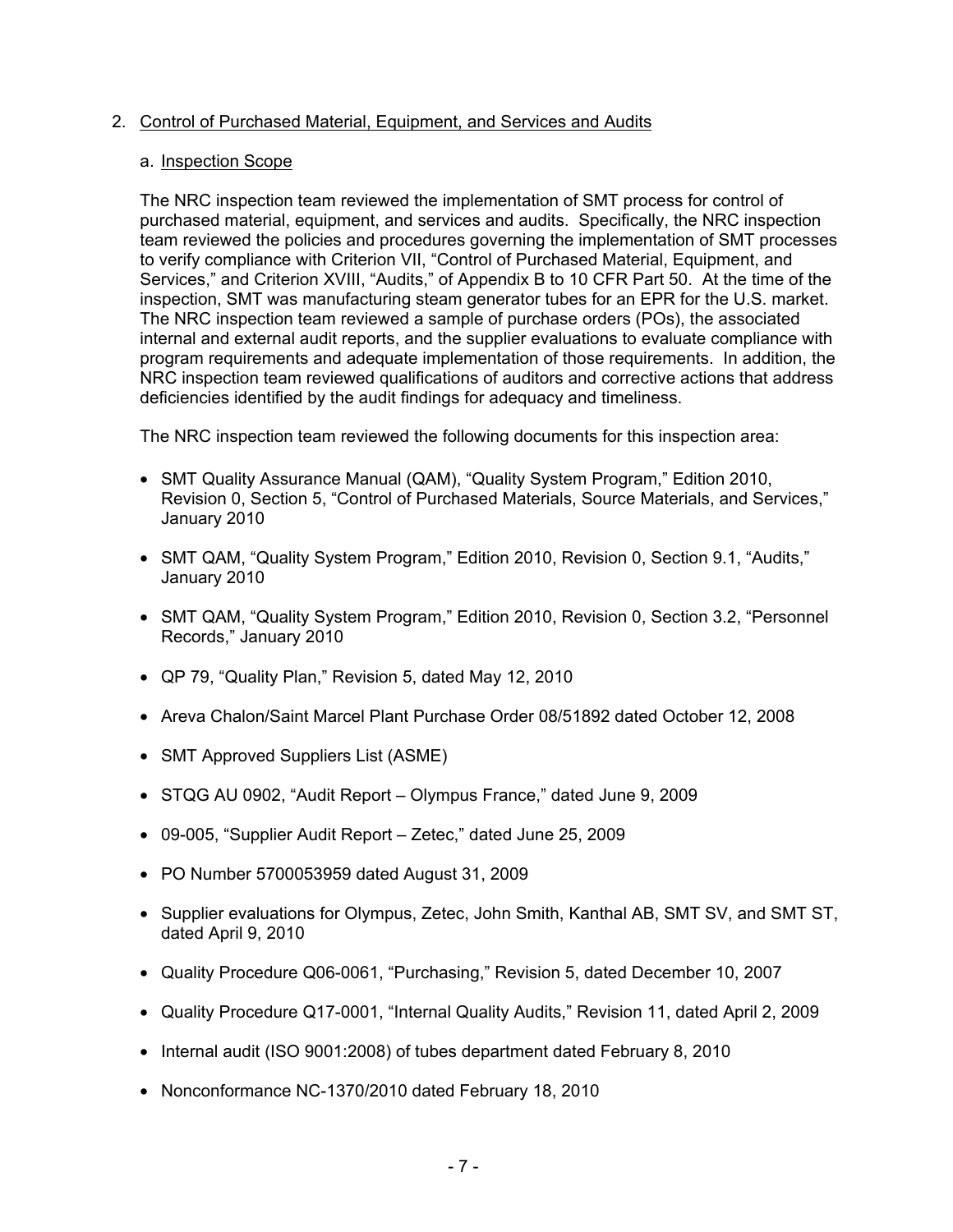#### 2. Control of Purchased Material, Equipment, and Services and Audits

#### a. Inspection Scope

The NRC inspection team reviewed the implementation of SMT process for control of purchased material, equipment, and services and audits. Specifically, the NRC inspection team reviewed the policies and procedures governing the implementation of SMT processes to verify compliance with Criterion VII, "Control of Purchased Material, Equipment, and Services," and Criterion XVIII, "Audits," of Appendix B to 10 CFR Part 50. At the time of the inspection, SMT was manufacturing steam generator tubes for an EPR for the U.S. market. The NRC inspection team reviewed a sample of purchase orders (POs), the associated internal and external audit reports, and the supplier evaluations to evaluate compliance with program requirements and adequate implementation of those requirements. In addition, the NRC inspection team reviewed qualifications of auditors and corrective actions that address deficiencies identified by the audit findings for adequacy and timeliness.

The NRC inspection team reviewed the following documents for this inspection area:

- SMT Quality Assurance Manual (QAM), "Quality System Program," Edition 2010, Revision 0, Section 5, "Control of Purchased Materials, Source Materials, and Services," January 2010
- SMT QAM, "Quality System Program," Edition 2010, Revision 0, Section 9.1, "Audits," January 2010
- SMT QAM, "Quality System Program," Edition 2010, Revision 0, Section 3.2, "Personnel Records," January 2010
- QP 79, "Quality Plan," Revision 5, dated May 12, 2010
- Areva Chalon/Saint Marcel Plant Purchase Order 08/51892 dated October 12, 2008
- SMT Approved Suppliers List (ASME)
- STQG AU 0902, "Audit Report Olympus France," dated June 9, 2009
- 09-005, "Supplier Audit Report Zetec," dated June 25, 2009
- PO Number 5700053959 dated August 31, 2009
- Supplier evaluations for Olympus, Zetec, John Smith, Kanthal AB, SMT SV, and SMT ST, dated April 9, 2010
- Quality Procedure Q06-0061, "Purchasing," Revision 5, dated December 10, 2007
- Quality Procedure Q17-0001, "Internal Quality Audits," Revision 11, dated April 2, 2009
- Internal audit (ISO 9001:2008) of tubes department dated February 8, 2010
- Nonconformance NC-1370/2010 dated February 18, 2010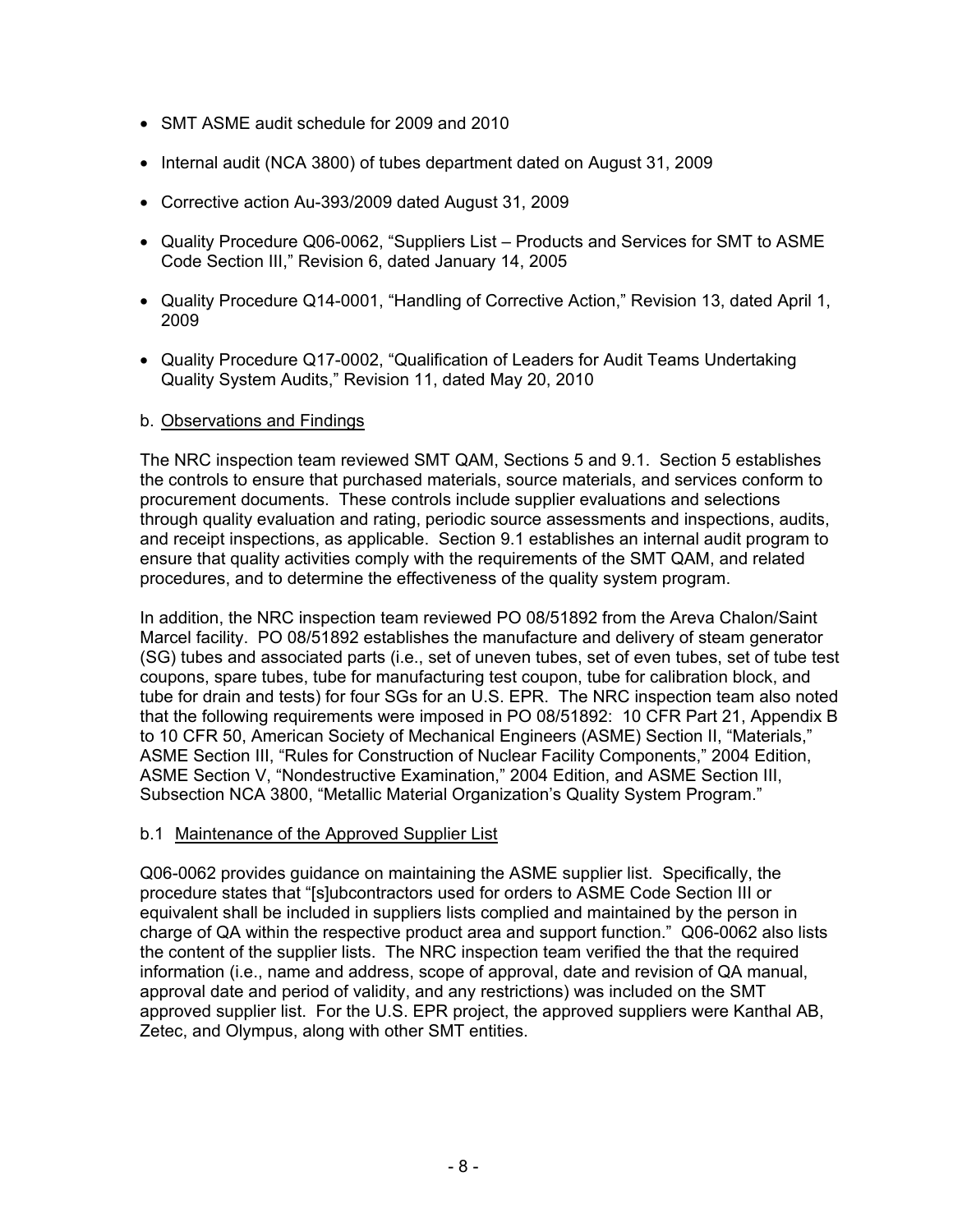- SMT ASME audit schedule for 2009 and 2010
- Internal audit (NCA 3800) of tubes department dated on August 31, 2009
- Corrective action Au-393/2009 dated August 31, 2009
- Quality Procedure Q06-0062, "Suppliers List Products and Services for SMT to ASME Code Section III," Revision 6, dated January 14, 2005
- Quality Procedure Q14-0001, "Handling of Corrective Action," Revision 13, dated April 1, 2009
- Quality Procedure Q17-0002, "Qualification of Leaders for Audit Teams Undertaking Quality System Audits," Revision 11, dated May 20, 2010

### b. Observations and Findings

The NRC inspection team reviewed SMT QAM, Sections 5 and 9.1. Section 5 establishes the controls to ensure that purchased materials, source materials, and services conform to procurement documents. These controls include supplier evaluations and selections through quality evaluation and rating, periodic source assessments and inspections, audits, and receipt inspections, as applicable. Section 9.1 establishes an internal audit program to ensure that quality activities comply with the requirements of the SMT QAM, and related procedures, and to determine the effectiveness of the quality system program.

In addition, the NRC inspection team reviewed PO 08/51892 from the Areva Chalon/Saint Marcel facility. PO 08/51892 establishes the manufacture and delivery of steam generator (SG) tubes and associated parts (i.e., set of uneven tubes, set of even tubes, set of tube test coupons, spare tubes, tube for manufacturing test coupon, tube for calibration block, and tube for drain and tests) for four SGs for an U.S. EPR. The NRC inspection team also noted that the following requirements were imposed in PO 08/51892: 10 CFR Part 21, Appendix B to 10 CFR 50, American Society of Mechanical Engineers (ASME) Section II, "Materials," ASME Section III, "Rules for Construction of Nuclear Facility Components," 2004 Edition, ASME Section V, "Nondestructive Examination," 2004 Edition, and ASME Section III, Subsection NCA 3800, "Metallic Material Organization's Quality System Program."

### b.1 Maintenance of the Approved Supplier List

Q06-0062 provides guidance on maintaining the ASME supplier list. Specifically, the procedure states that "[s]ubcontractors used for orders to ASME Code Section III or equivalent shall be included in suppliers lists complied and maintained by the person in charge of QA within the respective product area and support function." Q06-0062 also lists the content of the supplier lists. The NRC inspection team verified the that the required information (i.e., name and address, scope of approval, date and revision of QA manual, approval date and period of validity, and any restrictions) was included on the SMT approved supplier list. For the U.S. EPR project, the approved suppliers were Kanthal AB, Zetec, and Olympus, along with other SMT entities.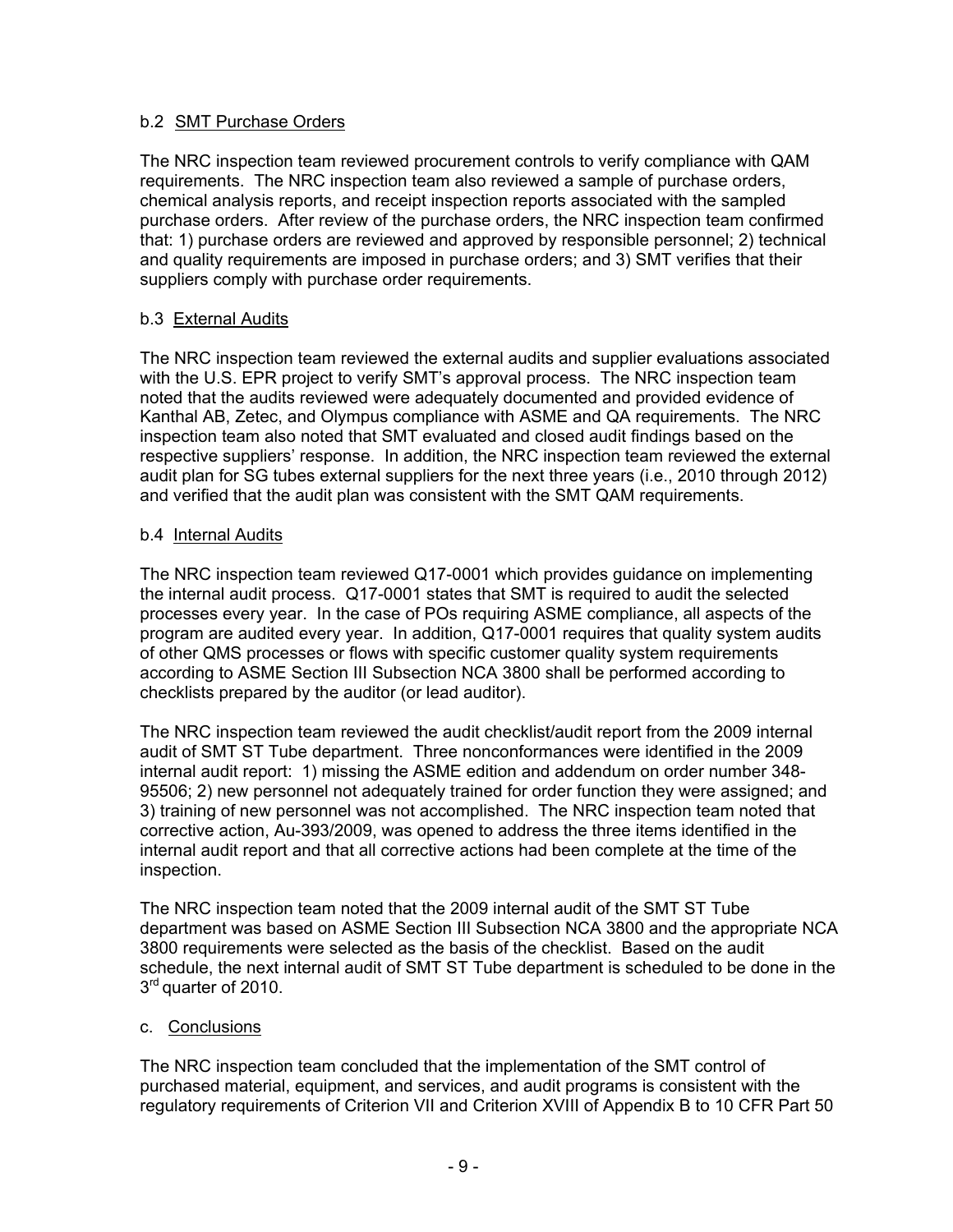### b.2 SMT Purchase Orders

The NRC inspection team reviewed procurement controls to verify compliance with QAM requirements. The NRC inspection team also reviewed a sample of purchase orders, chemical analysis reports, and receipt inspection reports associated with the sampled purchase orders. After review of the purchase orders, the NRC inspection team confirmed that: 1) purchase orders are reviewed and approved by responsible personnel; 2) technical and quality requirements are imposed in purchase orders; and 3) SMT verifies that their suppliers comply with purchase order requirements.

### b.3 External Audits

The NRC inspection team reviewed the external audits and supplier evaluations associated with the U.S. EPR project to verify SMT's approval process. The NRC inspection team noted that the audits reviewed were adequately documented and provided evidence of Kanthal AB, Zetec, and Olympus compliance with ASME and QA requirements. The NRC inspection team also noted that SMT evaluated and closed audit findings based on the respective suppliers' response. In addition, the NRC inspection team reviewed the external audit plan for SG tubes external suppliers for the next three years (i.e., 2010 through 2012) and verified that the audit plan was consistent with the SMT QAM requirements.

### b.4 Internal Audits

The NRC inspection team reviewed Q17-0001 which provides guidance on implementing the internal audit process. Q17-0001 states that SMT is required to audit the selected processes every year. In the case of POs requiring ASME compliance, all aspects of the program are audited every year. In addition, Q17-0001 requires that quality system audits of other QMS processes or flows with specific customer quality system requirements according to ASME Section III Subsection NCA 3800 shall be performed according to checklists prepared by the auditor (or lead auditor).

The NRC inspection team reviewed the audit checklist/audit report from the 2009 internal audit of SMT ST Tube department. Three nonconformances were identified in the 2009 internal audit report: 1) missing the ASME edition and addendum on order number 348- 95506; 2) new personnel not adequately trained for order function they were assigned; and 3) training of new personnel was not accomplished. The NRC inspection team noted that corrective action, Au-393/2009, was opened to address the three items identified in the internal audit report and that all corrective actions had been complete at the time of the inspection.

The NRC inspection team noted that the 2009 internal audit of the SMT ST Tube department was based on ASME Section III Subsection NCA 3800 and the appropriate NCA 3800 requirements were selected as the basis of the checklist. Based on the audit schedule, the next internal audit of SMT ST Tube department is scheduled to be done in the 3<sup>rd</sup> quarter of 2010.

### c. Conclusions

The NRC inspection team concluded that the implementation of the SMT control of purchased material, equipment, and services, and audit programs is consistent with the regulatory requirements of Criterion VII and Criterion XVIII of Appendix B to 10 CFR Part 50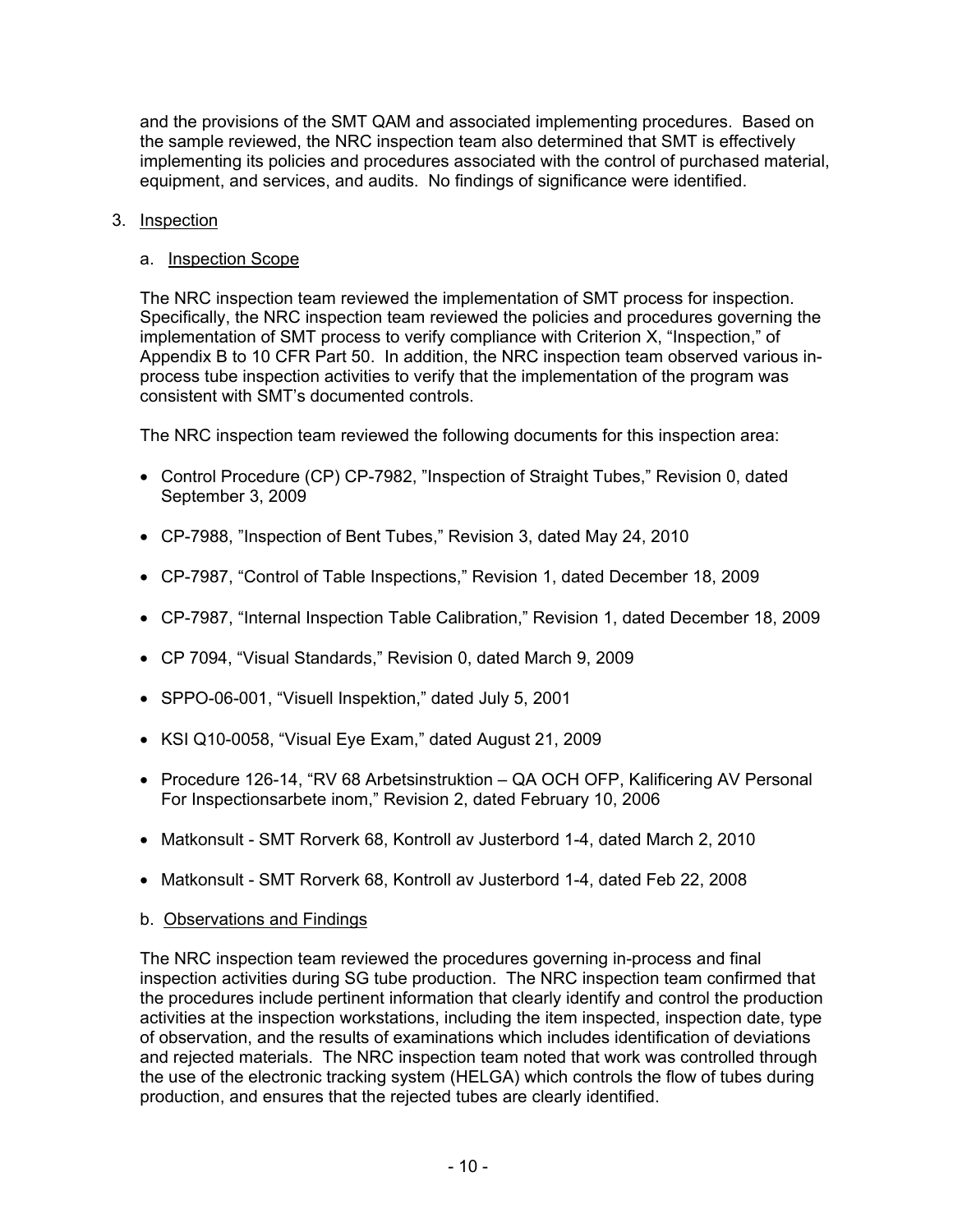and the provisions of the SMT QAM and associated implementing procedures. Based on the sample reviewed, the NRC inspection team also determined that SMT is effectively implementing its policies and procedures associated with the control of purchased material, equipment, and services, and audits. No findings of significance were identified.

### 3. Inspection

### a. Inspection Scope

The NRC inspection team reviewed the implementation of SMT process for inspection. Specifically, the NRC inspection team reviewed the policies and procedures governing the implementation of SMT process to verify compliance with Criterion X, "Inspection," of Appendix B to 10 CFR Part 50. In addition, the NRC inspection team observed various inprocess tube inspection activities to verify that the implementation of the program was consistent with SMT's documented controls.

The NRC inspection team reviewed the following documents for this inspection area:

- Control Procedure (CP) CP-7982, "Inspection of Straight Tubes," Revision 0, dated September 3, 2009
- CP-7988, "Inspection of Bent Tubes," Revision 3, dated May 24, 2010
- CP-7987, "Control of Table Inspections," Revision 1, dated December 18, 2009
- CP-7987, "Internal Inspection Table Calibration," Revision 1, dated December 18, 2009
- CP 7094, "Visual Standards," Revision 0, dated March 9, 2009
- SPPO-06-001, "Visuell Inspektion," dated July 5, 2001
- KSI Q10-0058, "Visual Eye Exam," dated August 21, 2009
- Procedure 126-14, "RV 68 Arbetsinstruktion QA OCH OFP, Kalificering AV Personal For Inspectionsarbete inom," Revision 2, dated February 10, 2006
- Matkonsult SMT Rorverk 68, Kontroll av Justerbord 1-4, dated March 2, 2010
- Matkonsult SMT Rorverk 68, Kontroll av Justerbord 1-4, dated Feb 22, 2008

## b. Observations and Findings

The NRC inspection team reviewed the procedures governing in-process and final inspection activities during SG tube production. The NRC inspection team confirmed that the procedures include pertinent information that clearly identify and control the production activities at the inspection workstations, including the item inspected, inspection date, type of observation, and the results of examinations which includes identification of deviations and rejected materials. The NRC inspection team noted that work was controlled through the use of the electronic tracking system (HELGA) which controls the flow of tubes during production, and ensures that the rejected tubes are clearly identified.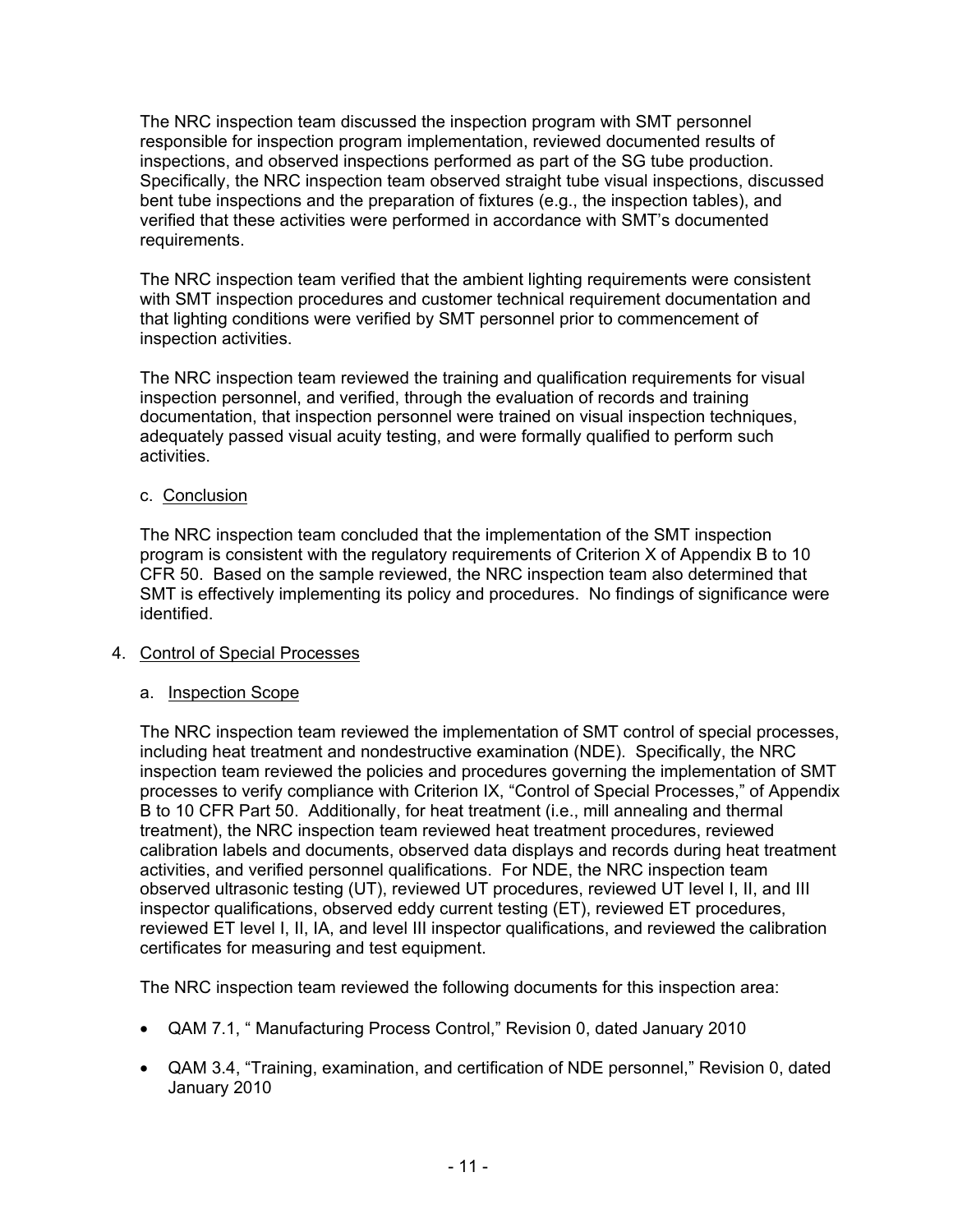The NRC inspection team discussed the inspection program with SMT personnel responsible for inspection program implementation, reviewed documented results of inspections, and observed inspections performed as part of the SG tube production. Specifically, the NRC inspection team observed straight tube visual inspections, discussed bent tube inspections and the preparation of fixtures (e.g., the inspection tables), and verified that these activities were performed in accordance with SMT's documented requirements.

The NRC inspection team verified that the ambient lighting requirements were consistent with SMT inspection procedures and customer technical requirement documentation and that lighting conditions were verified by SMT personnel prior to commencement of inspection activities.

The NRC inspection team reviewed the training and qualification requirements for visual inspection personnel, and verified, through the evaluation of records and training documentation, that inspection personnel were trained on visual inspection techniques, adequately passed visual acuity testing, and were formally qualified to perform such activities.

### c. Conclusion

The NRC inspection team concluded that the implementation of the SMT inspection program is consistent with the regulatory requirements of Criterion X of Appendix B to 10 CFR 50. Based on the sample reviewed, the NRC inspection team also determined that SMT is effectively implementing its policy and procedures. No findings of significance were identified.

## 4. Control of Special Processes

### a. Inspection Scope

The NRC inspection team reviewed the implementation of SMT control of special processes, including heat treatment and nondestructive examination (NDE). Specifically, the NRC inspection team reviewed the policies and procedures governing the implementation of SMT processes to verify compliance with Criterion IX, "Control of Special Processes," of Appendix B to 10 CFR Part 50. Additionally, for heat treatment (i.e., mill annealing and thermal treatment), the NRC inspection team reviewed heat treatment procedures, reviewed calibration labels and documents, observed data displays and records during heat treatment activities, and verified personnel qualifications. For NDE, the NRC inspection team observed ultrasonic testing (UT), reviewed UT procedures, reviewed UT level I, II, and III inspector qualifications, observed eddy current testing (ET), reviewed ET procedures, reviewed ET level I, II, IA, and level III inspector qualifications, and reviewed the calibration certificates for measuring and test equipment.

The NRC inspection team reviewed the following documents for this inspection area:

- QAM 7.1, " Manufacturing Process Control," Revision 0, dated January 2010
- QAM 3.4, "Training, examination, and certification of NDE personnel," Revision 0, dated January 2010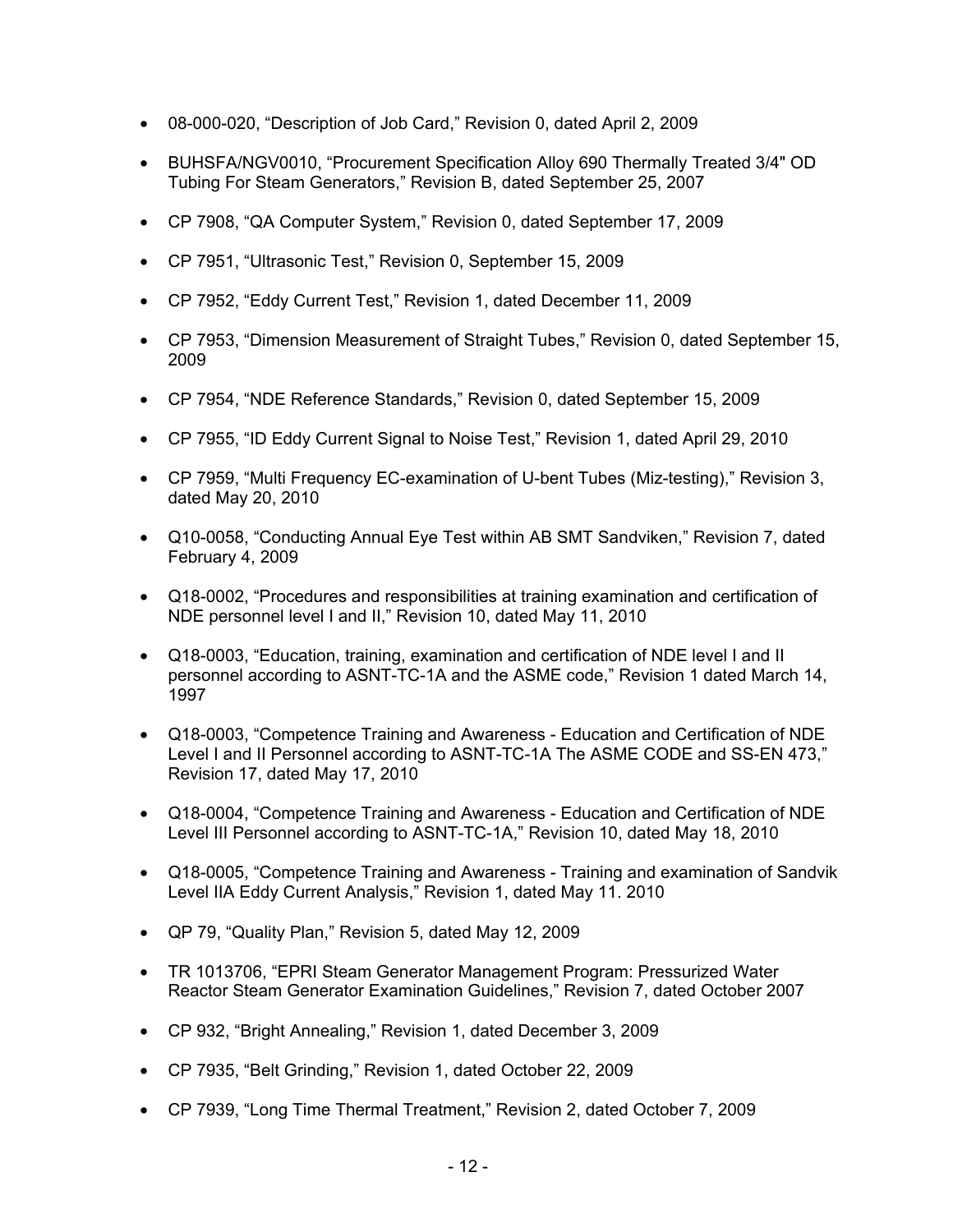- 08-000-020, "Description of Job Card," Revision 0, dated April 2, 2009
- BUHSFA/NGV0010, "Procurement Specification Alloy 690 Thermally Treated 3/4" OD Tubing For Steam Generators," Revision B, dated September 25, 2007
- CP 7908, "QA Computer System," Revision 0, dated September 17, 2009
- CP 7951, "Ultrasonic Test," Revision 0, September 15, 2009
- CP 7952, "Eddy Current Test," Revision 1, dated December 11, 2009
- CP 7953, "Dimension Measurement of Straight Tubes," Revision 0, dated September 15, 2009
- CP 7954, "NDE Reference Standards," Revision 0, dated September 15, 2009
- CP 7955, "ID Eddy Current Signal to Noise Test," Revision 1, dated April 29, 2010
- CP 7959, "Multi Frequency EC-examination of U-bent Tubes (Miz-testing)," Revision 3, dated May 20, 2010
- Q10-0058, "Conducting Annual Eye Test within AB SMT Sandviken," Revision 7, dated February 4, 2009
- Q18-0002, "Procedures and responsibilities at training examination and certification of NDE personnel level I and II," Revision 10, dated May 11, 2010
- Q18-0003, "Education, training, examination and certification of NDE level I and II personnel according to ASNT-TC-1A and the ASME code," Revision 1 dated March 14, 1997
- Q18-0003, "Competence Training and Awareness Education and Certification of NDE Level I and II Personnel according to ASNT-TC-1A The ASME CODE and SS-EN 473," Revision 17, dated May 17, 2010
- Q18-0004, "Competence Training and Awareness Education and Certification of NDE Level III Personnel according to ASNT-TC-1A," Revision 10, dated May 18, 2010
- Q18-0005, "Competence Training and Awareness Training and examination of Sandvik Level IIA Eddy Current Analysis," Revision 1, dated May 11. 2010
- QP 79, "Quality Plan," Revision 5, dated May 12, 2009
- TR 1013706, "EPRI Steam Generator Management Program: Pressurized Water Reactor Steam Generator Examination Guidelines," Revision 7, dated October 2007
- CP 932, "Bright Annealing," Revision 1, dated December 3, 2009
- CP 7935, "Belt Grinding," Revision 1, dated October 22, 2009
- CP 7939, "Long Time Thermal Treatment," Revision 2, dated October 7, 2009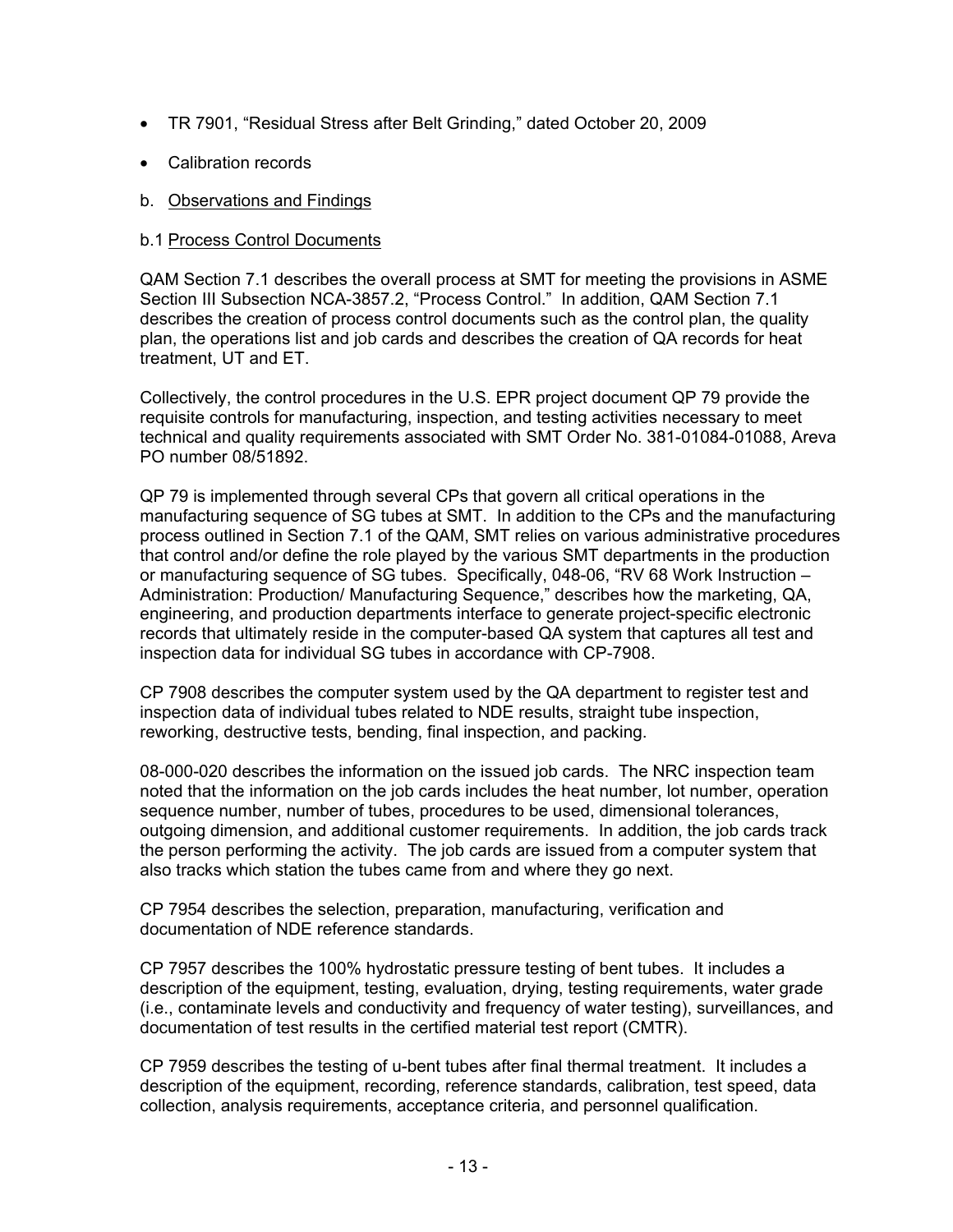- TR 7901, "Residual Stress after Belt Grinding," dated October 20, 2009
- Calibration records
- b. Observations and Findings

#### b.1 Process Control Documents

QAM Section 7.1 describes the overall process at SMT for meeting the provisions in ASME Section III Subsection NCA-3857.2, "Process Control." In addition, QAM Section 7.1 describes the creation of process control documents such as the control plan, the quality plan, the operations list and job cards and describes the creation of QA records for heat treatment, UT and ET.

Collectively, the control procedures in the U.S. EPR project document QP 79 provide the requisite controls for manufacturing, inspection, and testing activities necessary to meet technical and quality requirements associated with SMT Order No. 381-01084-01088, Areva PO number 08/51892.

QP 79 is implemented through several CPs that govern all critical operations in the manufacturing sequence of SG tubes at SMT. In addition to the CPs and the manufacturing process outlined in Section 7.1 of the QAM, SMT relies on various administrative procedures that control and/or define the role played by the various SMT departments in the production or manufacturing sequence of SG tubes. Specifically, 048-06, "RV 68 Work Instruction – Administration: Production/ Manufacturing Sequence," describes how the marketing, QA, engineering, and production departments interface to generate project-specific electronic records that ultimately reside in the computer-based QA system that captures all test and inspection data for individual SG tubes in accordance with CP-7908.

CP 7908 describes the computer system used by the QA department to register test and inspection data of individual tubes related to NDE results, straight tube inspection, reworking, destructive tests, bending, final inspection, and packing.

08-000-020 describes the information on the issued job cards. The NRC inspection team noted that the information on the job cards includes the heat number, lot number, operation sequence number, number of tubes, procedures to be used, dimensional tolerances, outgoing dimension, and additional customer requirements. In addition, the job cards track the person performing the activity. The job cards are issued from a computer system that also tracks which station the tubes came from and where they go next.

CP 7954 describes the selection, preparation, manufacturing, verification and documentation of NDE reference standards.

CP 7957 describes the 100% hydrostatic pressure testing of bent tubes. It includes a description of the equipment, testing, evaluation, drying, testing requirements, water grade (i.e., contaminate levels and conductivity and frequency of water testing), surveillances, and documentation of test results in the certified material test report (CMTR).

CP 7959 describes the testing of u-bent tubes after final thermal treatment. It includes a description of the equipment, recording, reference standards, calibration, test speed, data collection, analysis requirements, acceptance criteria, and personnel qualification.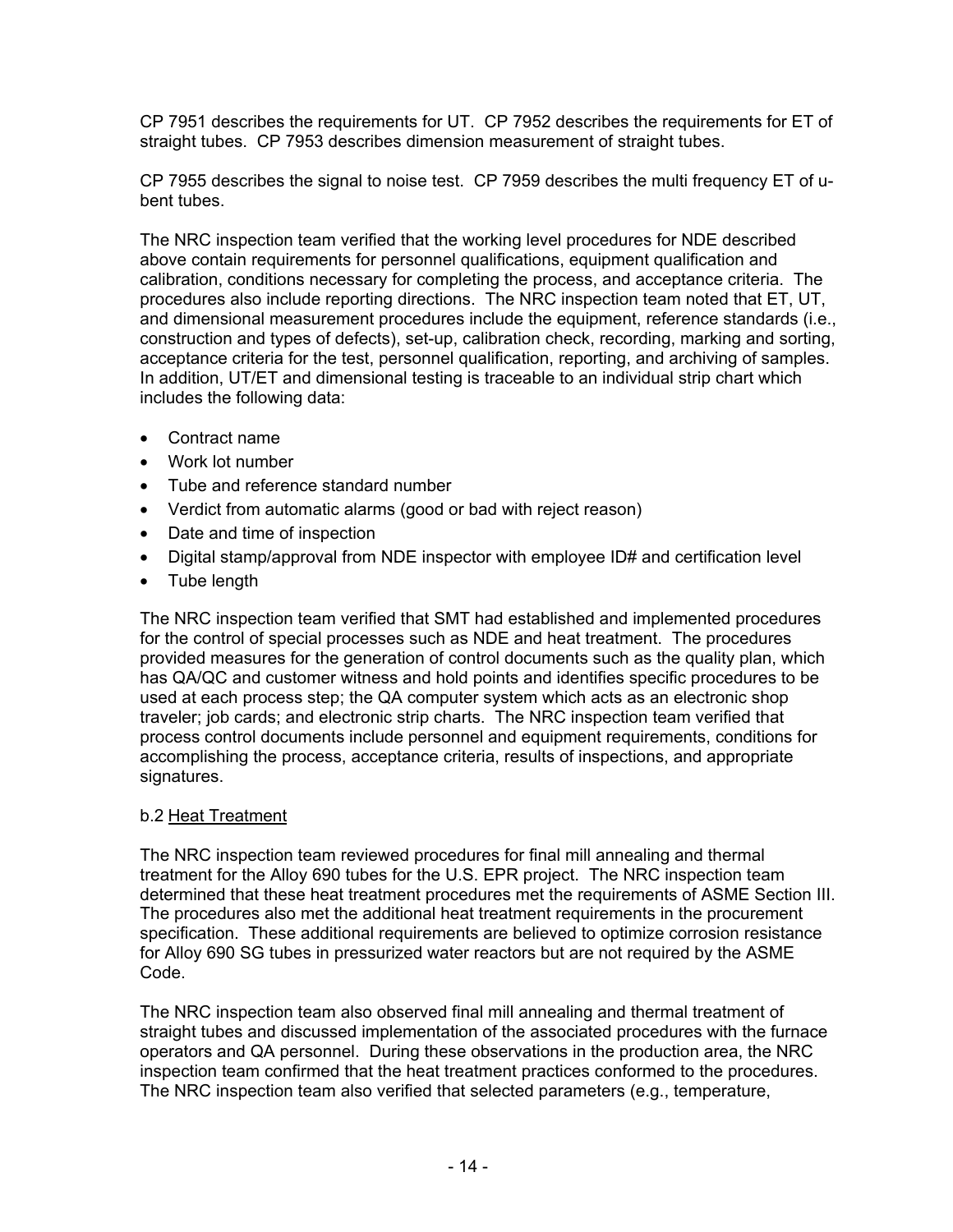CP 7951 describes the requirements for UT. CP 7952 describes the requirements for ET of straight tubes. CP 7953 describes dimension measurement of straight tubes.

CP 7955 describes the signal to noise test. CP 7959 describes the multi frequency ET of ubent tubes.

The NRC inspection team verified that the working level procedures for NDE described above contain requirements for personnel qualifications, equipment qualification and calibration, conditions necessary for completing the process, and acceptance criteria. The procedures also include reporting directions. The NRC inspection team noted that ET, UT, and dimensional measurement procedures include the equipment, reference standards (i.e., construction and types of defects), set-up, calibration check, recording, marking and sorting, acceptance criteria for the test, personnel qualification, reporting, and archiving of samples. In addition, UT/ET and dimensional testing is traceable to an individual strip chart which includes the following data:

- Contract name
- Work lot number
- Tube and reference standard number
- Verdict from automatic alarms (good or bad with reject reason)
- Date and time of inspection
- Digital stamp/approval from NDE inspector with employee ID# and certification level
- Tube length

The NRC inspection team verified that SMT had established and implemented procedures for the control of special processes such as NDE and heat treatment. The procedures provided measures for the generation of control documents such as the quality plan, which has QA/QC and customer witness and hold points and identifies specific procedures to be used at each process step; the QA computer system which acts as an electronic shop traveler; job cards; and electronic strip charts. The NRC inspection team verified that process control documents include personnel and equipment requirements, conditions for accomplishing the process, acceptance criteria, results of inspections, and appropriate signatures.

### b.2 Heat Treatment

The NRC inspection team reviewed procedures for final mill annealing and thermal treatment for the Alloy 690 tubes for the U.S. EPR project. The NRC inspection team determined that these heat treatment procedures met the requirements of ASME Section III. The procedures also met the additional heat treatment requirements in the procurement specification. These additional requirements are believed to optimize corrosion resistance for Alloy 690 SG tubes in pressurized water reactors but are not required by the ASME Code.

The NRC inspection team also observed final mill annealing and thermal treatment of straight tubes and discussed implementation of the associated procedures with the furnace operators and QA personnel. During these observations in the production area, the NRC inspection team confirmed that the heat treatment practices conformed to the procedures. The NRC inspection team also verified that selected parameters (e.g., temperature,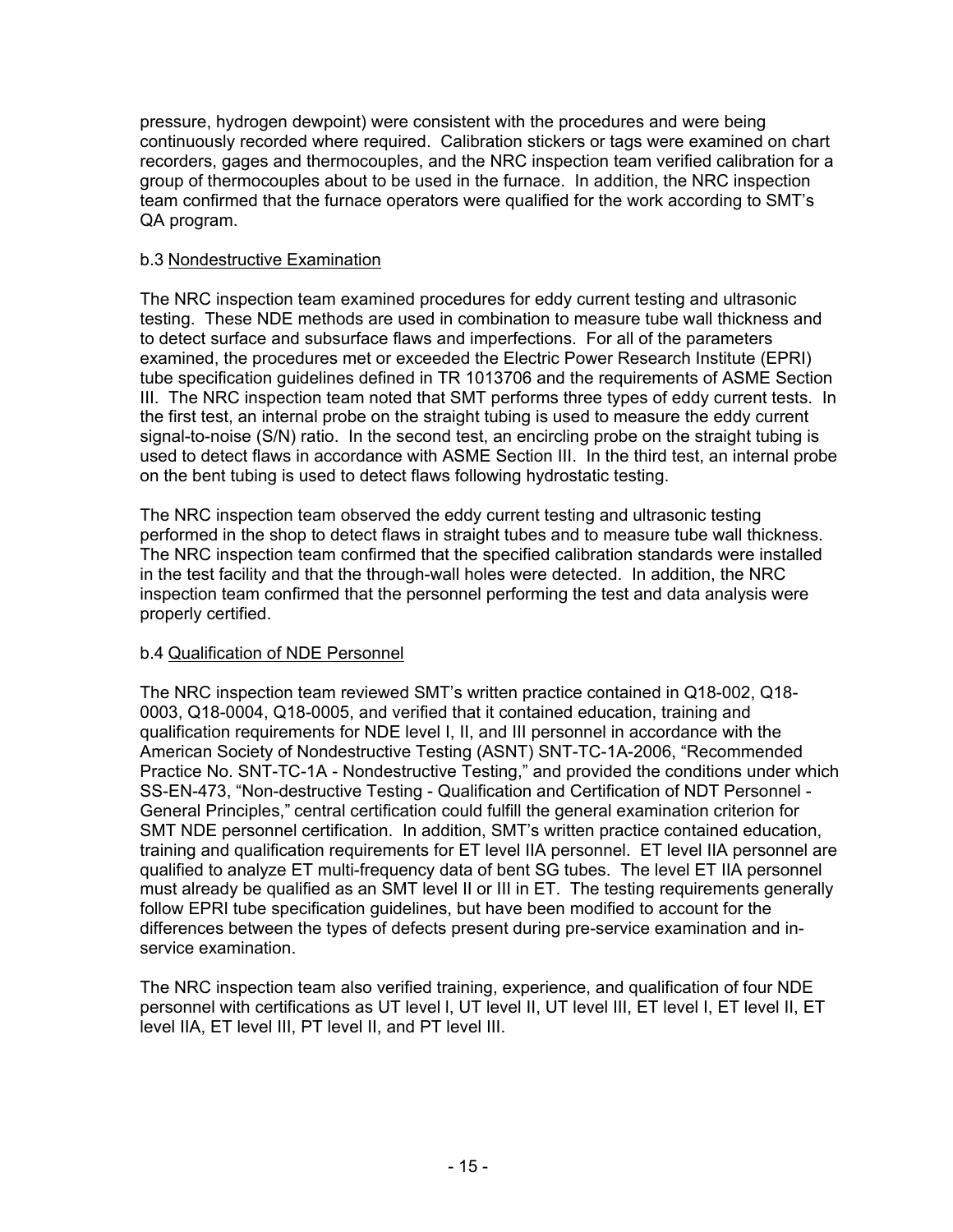pressure, hydrogen dewpoint) were consistent with the procedures and were being continuously recorded where required. Calibration stickers or tags were examined on chart recorders, gages and thermocouples, and the NRC inspection team verified calibration for a group of thermocouples about to be used in the furnace. In addition, the NRC inspection team confirmed that the furnace operators were qualified for the work according to SMT's QA program.

### b.3 Nondestructive Examination

The NRC inspection team examined procedures for eddy current testing and ultrasonic testing. These NDE methods are used in combination to measure tube wall thickness and to detect surface and subsurface flaws and imperfections. For all of the parameters examined, the procedures met or exceeded the Electric Power Research Institute (EPRI) tube specification guidelines defined in TR 1013706 and the requirements of ASME Section III. The NRC inspection team noted that SMT performs three types of eddy current tests. In the first test, an internal probe on the straight tubing is used to measure the eddy current signal-to-noise (S/N) ratio. In the second test, an encircling probe on the straight tubing is used to detect flaws in accordance with ASME Section III. In the third test, an internal probe on the bent tubing is used to detect flaws following hydrostatic testing.

The NRC inspection team observed the eddy current testing and ultrasonic testing performed in the shop to detect flaws in straight tubes and to measure tube wall thickness. The NRC inspection team confirmed that the specified calibration standards were installed in the test facility and that the through-wall holes were detected. In addition, the NRC inspection team confirmed that the personnel performing the test and data analysis were properly certified.

## b.4 Qualification of NDE Personnel

The NRC inspection team reviewed SMT's written practice contained in Q18-002, Q18- 0003, Q18-0004, Q18-0005, and verified that it contained education, training and qualification requirements for NDE level I, II, and III personnel in accordance with the American Society of Nondestructive Testing (ASNT) SNT-TC-1A-2006, "Recommended Practice No. SNT-TC-1A - Nondestructive Testing," and provided the conditions under which SS-EN-473, "Non-destructive Testing - Qualification and Certification of NDT Personnel - General Principles," central certification could fulfill the general examination criterion for SMT NDE personnel certification. In addition, SMT's written practice contained education, training and qualification requirements for ET level IIA personnel. ET level IIA personnel are qualified to analyze ET multi-frequency data of bent SG tubes. The level ET IIA personnel must already be qualified as an SMT level II or III in ET. The testing requirements generally follow EPRI tube specification guidelines, but have been modified to account for the differences between the types of defects present during pre-service examination and inservice examination.

The NRC inspection team also verified training, experience, and qualification of four NDE personnel with certifications as UT level l, UT level II, UT level III, ET level I, ET level II, ET level IIA, ET level III, PT level II, and PT level III.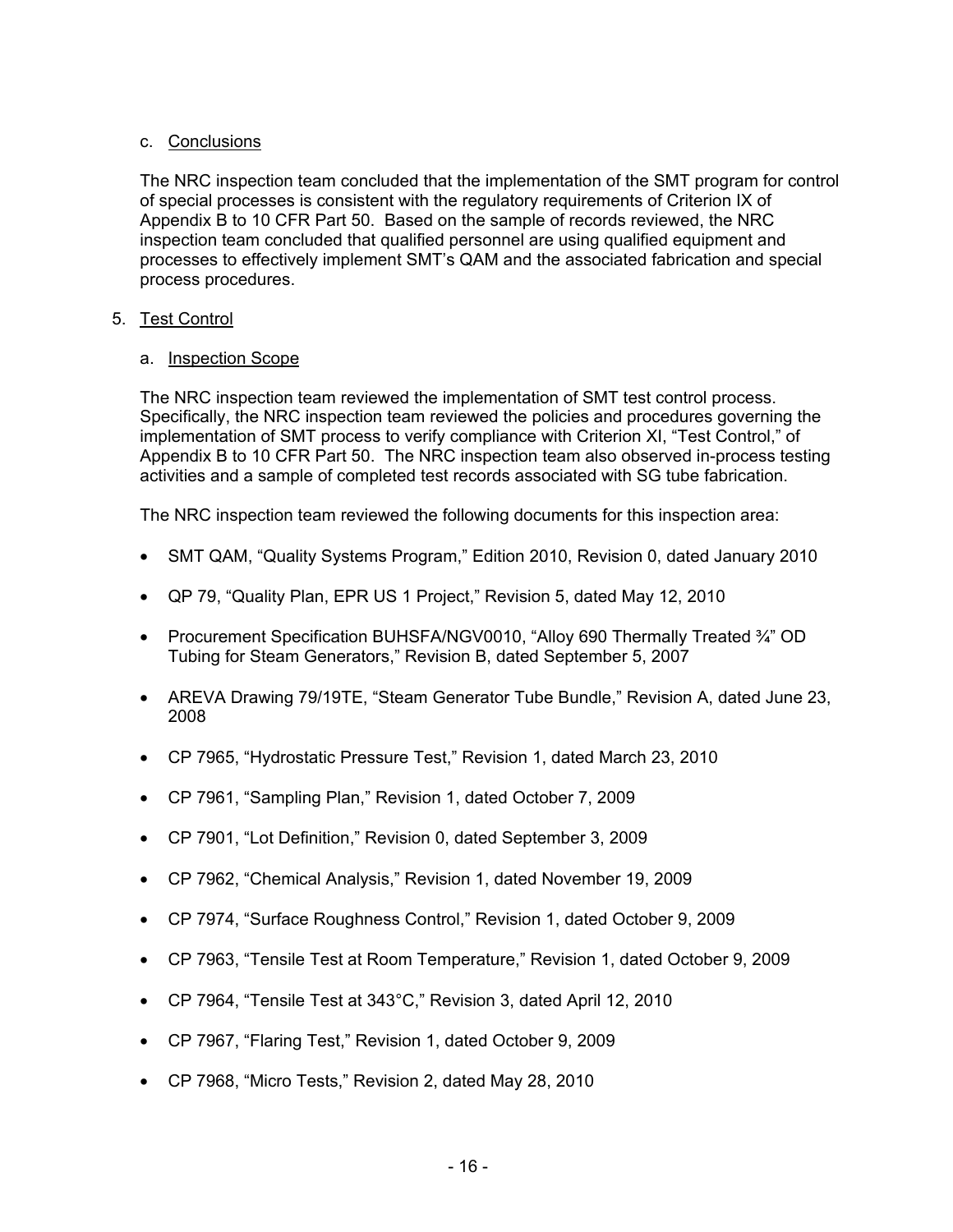### c. Conclusions

The NRC inspection team concluded that the implementation of the SMT program for control of special processes is consistent with the regulatory requirements of Criterion IX of Appendix B to 10 CFR Part 50. Based on the sample of records reviewed, the NRC inspection team concluded that qualified personnel are using qualified equipment and processes to effectively implement SMT's QAM and the associated fabrication and special process procedures.

### 5. Test Control

### a. Inspection Scope

The NRC inspection team reviewed the implementation of SMT test control process. Specifically, the NRC inspection team reviewed the policies and procedures governing the implementation of SMT process to verify compliance with Criterion XI, "Test Control," of Appendix B to 10 CFR Part 50. The NRC inspection team also observed in-process testing activities and a sample of completed test records associated with SG tube fabrication.

The NRC inspection team reviewed the following documents for this inspection area:

- SMT QAM, "Quality Systems Program," Edition 2010, Revision 0, dated January 2010
- QP 79, "Quality Plan, EPR US 1 Project," Revision 5, dated May 12, 2010
- Procurement Specification BUHSFA/NGV0010, "Alloy 690 Thermally Treated 3/4" OD Tubing for Steam Generators," Revision B, dated September 5, 2007
- AREVA Drawing 79/19TE, "Steam Generator Tube Bundle," Revision A, dated June 23, 2008
- CP 7965, "Hydrostatic Pressure Test," Revision 1, dated March 23, 2010
- CP 7961, "Sampling Plan," Revision 1, dated October 7, 2009
- CP 7901, "Lot Definition," Revision 0, dated September 3, 2009
- CP 7962, "Chemical Analysis," Revision 1, dated November 19, 2009
- CP 7974, "Surface Roughness Control," Revision 1, dated October 9, 2009
- CP 7963, "Tensile Test at Room Temperature," Revision 1, dated October 9, 2009
- CP 7964, "Tensile Test at 343°C," Revision 3, dated April 12, 2010
- CP 7967, "Flaring Test," Revision 1, dated October 9, 2009
- CP 7968, "Micro Tests," Revision 2, dated May 28, 2010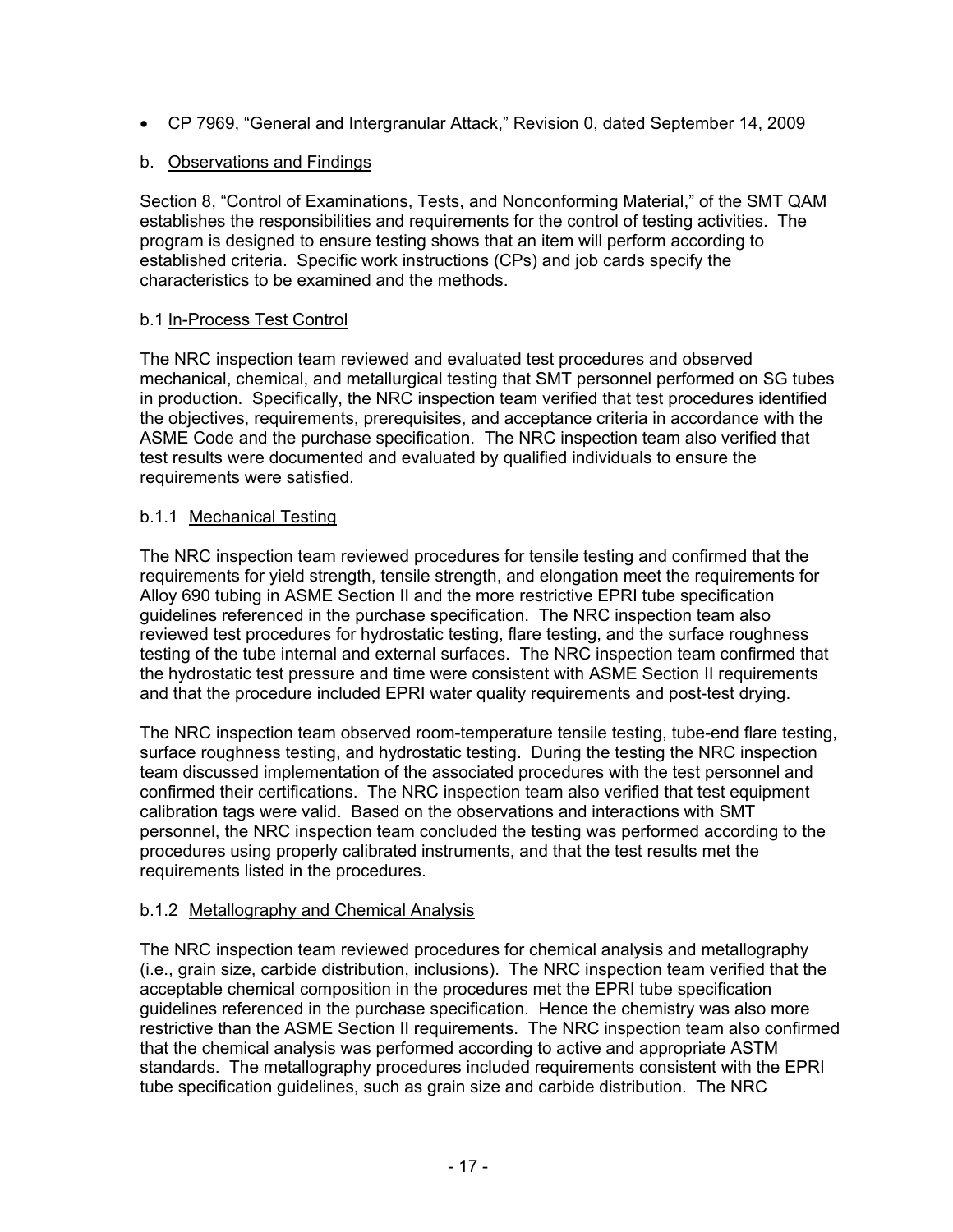• CP 7969, "General and Intergranular Attack," Revision 0, dated September 14, 2009

## b. Observations and Findings

Section 8, "Control of Examinations, Tests, and Nonconforming Material," of the SMT QAM establishes the responsibilities and requirements for the control of testing activities. The program is designed to ensure testing shows that an item will perform according to established criteria. Specific work instructions (CPs) and job cards specify the characteristics to be examined and the methods.

## b.1 In-Process Test Control

The NRC inspection team reviewed and evaluated test procedures and observed mechanical, chemical, and metallurgical testing that SMT personnel performed on SG tubes in production. Specifically, the NRC inspection team verified that test procedures identified the objectives, requirements, prerequisites, and acceptance criteria in accordance with the ASME Code and the purchase specification. The NRC inspection team also verified that test results were documented and evaluated by qualified individuals to ensure the requirements were satisfied.

## b.1.1 Mechanical Testing

The NRC inspection team reviewed procedures for tensile testing and confirmed that the requirements for yield strength, tensile strength, and elongation meet the requirements for Alloy 690 tubing in ASME Section II and the more restrictive EPRI tube specification guidelines referenced in the purchase specification. The NRC inspection team also reviewed test procedures for hydrostatic testing, flare testing, and the surface roughness testing of the tube internal and external surfaces. The NRC inspection team confirmed that the hydrostatic test pressure and time were consistent with ASME Section II requirements and that the procedure included EPRI water quality requirements and post-test drying.

The NRC inspection team observed room-temperature tensile testing, tube-end flare testing, surface roughness testing, and hydrostatic testing. During the testing the NRC inspection team discussed implementation of the associated procedures with the test personnel and confirmed their certifications. The NRC inspection team also verified that test equipment calibration tags were valid. Based on the observations and interactions with SMT personnel, the NRC inspection team concluded the testing was performed according to the procedures using properly calibrated instruments, and that the test results met the requirements listed in the procedures.

# b.1.2 Metallography and Chemical Analysis

The NRC inspection team reviewed procedures for chemical analysis and metallography (i.e., grain size, carbide distribution, inclusions). The NRC inspection team verified that the acceptable chemical composition in the procedures met the EPRI tube specification guidelines referenced in the purchase specification. Hence the chemistry was also more restrictive than the ASME Section II requirements. The NRC inspection team also confirmed that the chemical analysis was performed according to active and appropriate ASTM standards. The metallography procedures included requirements consistent with the EPRI tube specification guidelines, such as grain size and carbide distribution. The NRC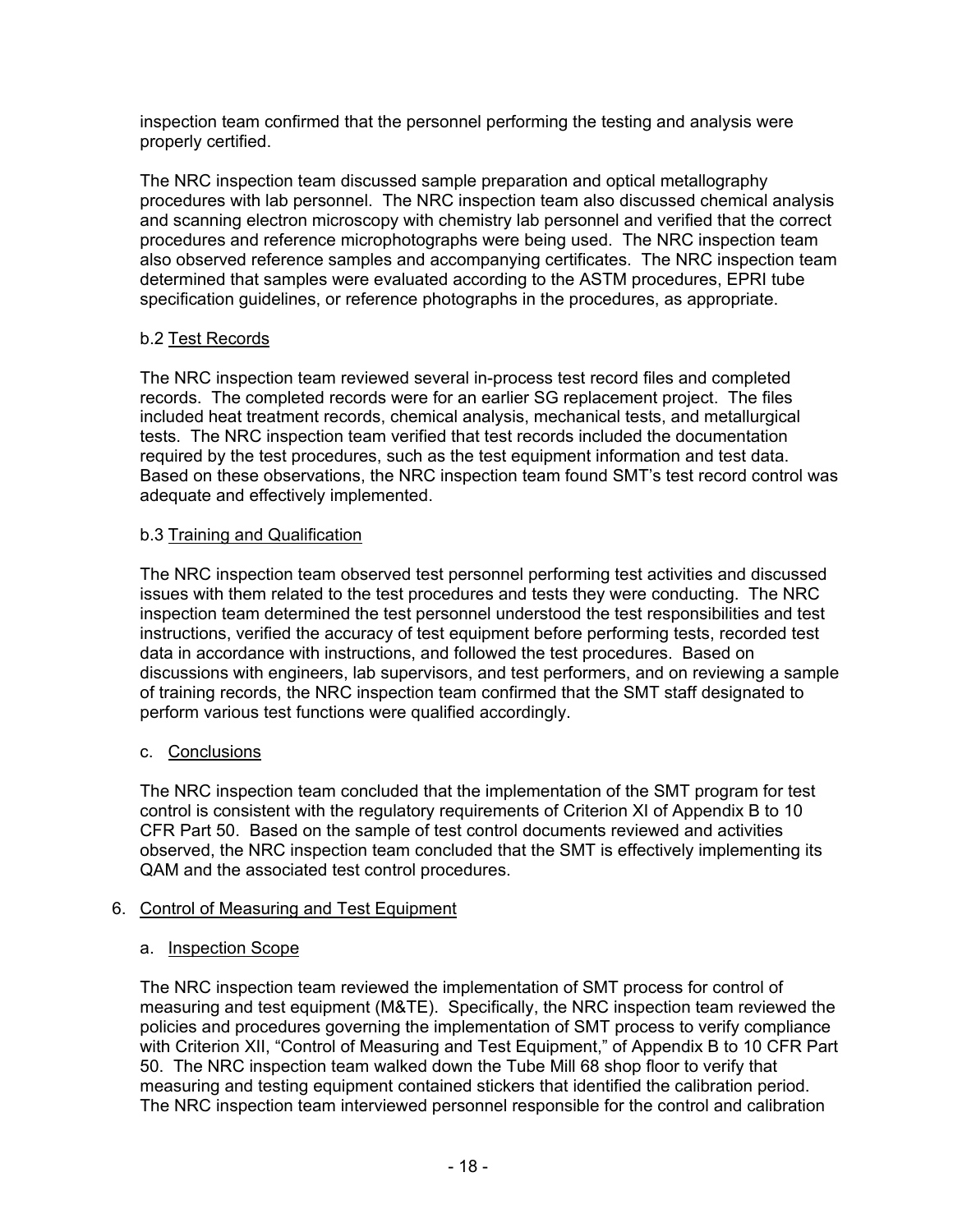inspection team confirmed that the personnel performing the testing and analysis were properly certified.

The NRC inspection team discussed sample preparation and optical metallography procedures with lab personnel. The NRC inspection team also discussed chemical analysis and scanning electron microscopy with chemistry lab personnel and verified that the correct procedures and reference microphotographs were being used. The NRC inspection team also observed reference samples and accompanying certificates. The NRC inspection team determined that samples were evaluated according to the ASTM procedures, EPRI tube specification guidelines, or reference photographs in the procedures, as appropriate.

## b.2 Test Records

The NRC inspection team reviewed several in-process test record files and completed records. The completed records were for an earlier SG replacement project. The files included heat treatment records, chemical analysis, mechanical tests, and metallurgical tests. The NRC inspection team verified that test records included the documentation required by the test procedures, such as the test equipment information and test data. Based on these observations, the NRC inspection team found SMT's test record control was adequate and effectively implemented.

## b.3 Training and Qualification

The NRC inspection team observed test personnel performing test activities and discussed issues with them related to the test procedures and tests they were conducting. The NRC inspection team determined the test personnel understood the test responsibilities and test instructions, verified the accuracy of test equipment before performing tests, recorded test data in accordance with instructions, and followed the test procedures. Based on discussions with engineers, lab supervisors, and test performers, and on reviewing a sample of training records, the NRC inspection team confirmed that the SMT staff designated to perform various test functions were qualified accordingly.

## c. Conclusions

The NRC inspection team concluded that the implementation of the SMT program for test control is consistent with the regulatory requirements of Criterion XI of Appendix B to 10 CFR Part 50. Based on the sample of test control documents reviewed and activities observed, the NRC inspection team concluded that the SMT is effectively implementing its QAM and the associated test control procedures.

## 6. Control of Measuring and Test Equipment

## a. Inspection Scope

The NRC inspection team reviewed the implementation of SMT process for control of measuring and test equipment (M&TE). Specifically, the NRC inspection team reviewed the policies and procedures governing the implementation of SMT process to verify compliance with Criterion XII, "Control of Measuring and Test Equipment," of Appendix B to 10 CFR Part 50. The NRC inspection team walked down the Tube Mill 68 shop floor to verify that measuring and testing equipment contained stickers that identified the calibration period. The NRC inspection team interviewed personnel responsible for the control and calibration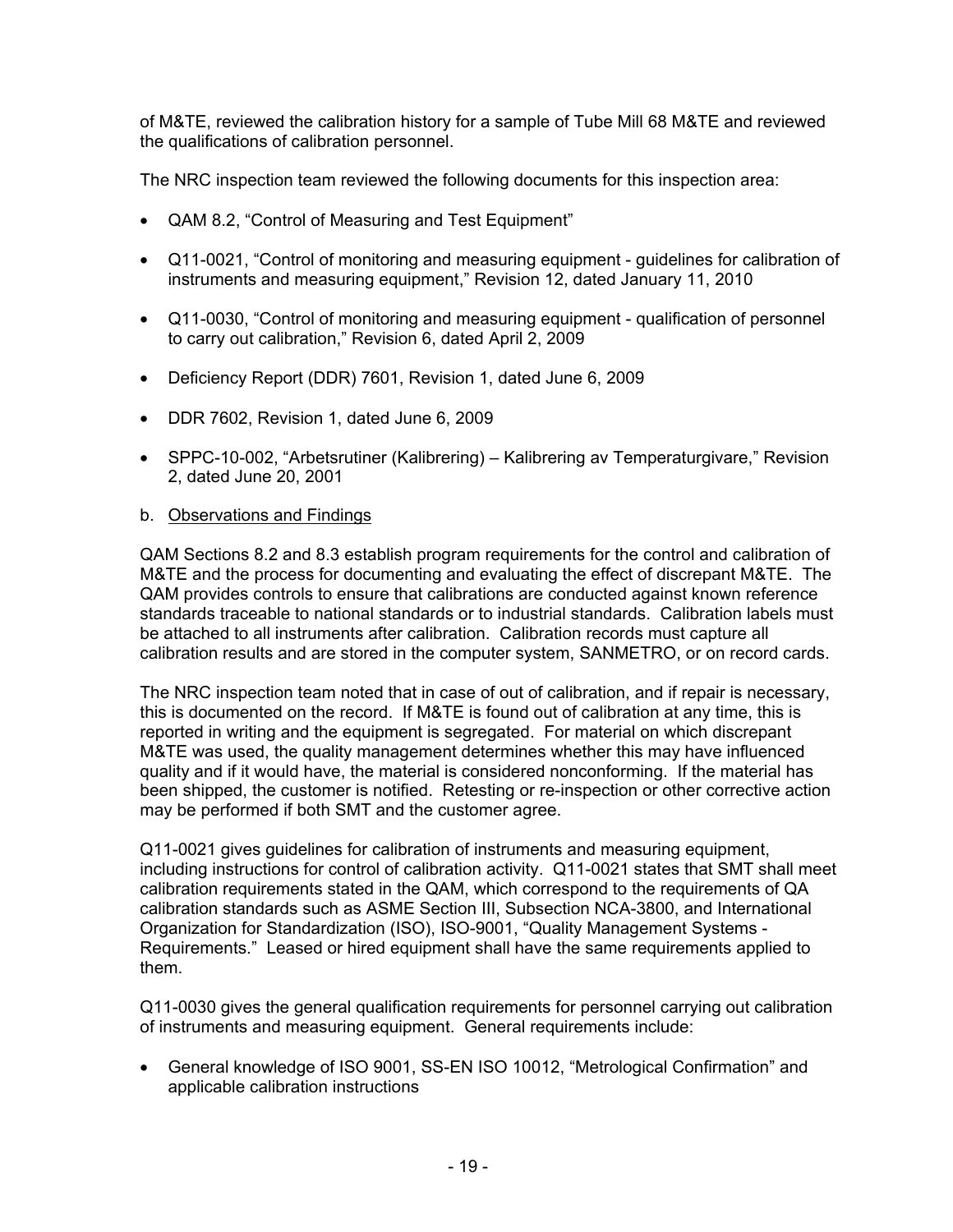of M&TE, reviewed the calibration history for a sample of Tube Mill 68 M&TE and reviewed the qualifications of calibration personnel.

The NRC inspection team reviewed the following documents for this inspection area:

- QAM 8.2, "Control of Measuring and Test Equipment"
- Q11-0021, "Control of monitoring and measuring equipment guidelines for calibration of instruments and measuring equipment," Revision 12, dated January 11, 2010
- Q11-0030, "Control of monitoring and measuring equipment qualification of personnel to carry out calibration," Revision 6, dated April 2, 2009
- Deficiency Report (DDR) 7601, Revision 1, dated June 6, 2009
- DDR 7602, Revision 1, dated June 6, 2009
- SPPC-10-002, "Arbetsrutiner (Kalibrering) Kalibrering av Temperaturgivare," Revision 2, dated June 20, 2001
- b. Observations and Findings

QAM Sections 8.2 and 8.3 establish program requirements for the control and calibration of M&TE and the process for documenting and evaluating the effect of discrepant M&TE. The QAM provides controls to ensure that calibrations are conducted against known reference standards traceable to national standards or to industrial standards. Calibration labels must be attached to all instruments after calibration. Calibration records must capture all calibration results and are stored in the computer system, SANMETRO, or on record cards.

The NRC inspection team noted that in case of out of calibration, and if repair is necessary, this is documented on the record. If M&TE is found out of calibration at any time, this is reported in writing and the equipment is segregated. For material on which discrepant M&TE was used, the quality management determines whether this may have influenced quality and if it would have, the material is considered nonconforming. If the material has been shipped, the customer is notified. Retesting or re-inspection or other corrective action may be performed if both SMT and the customer agree.

Q11-0021 gives guidelines for calibration of instruments and measuring equipment, including instructions for control of calibration activity. Q11-0021 states that SMT shall meet calibration requirements stated in the QAM, which correspond to the requirements of QA calibration standards such as ASME Section III, Subsection NCA-3800, and International Organization for Standardization (ISO), ISO-9001, "Quality Management Systems - Requirements." Leased or hired equipment shall have the same requirements applied to them.

Q11-0030 gives the general qualification requirements for personnel carrying out calibration of instruments and measuring equipment. General requirements include:

• General knowledge of ISO 9001, SS-EN ISO 10012, "Metrological Confirmation" and applicable calibration instructions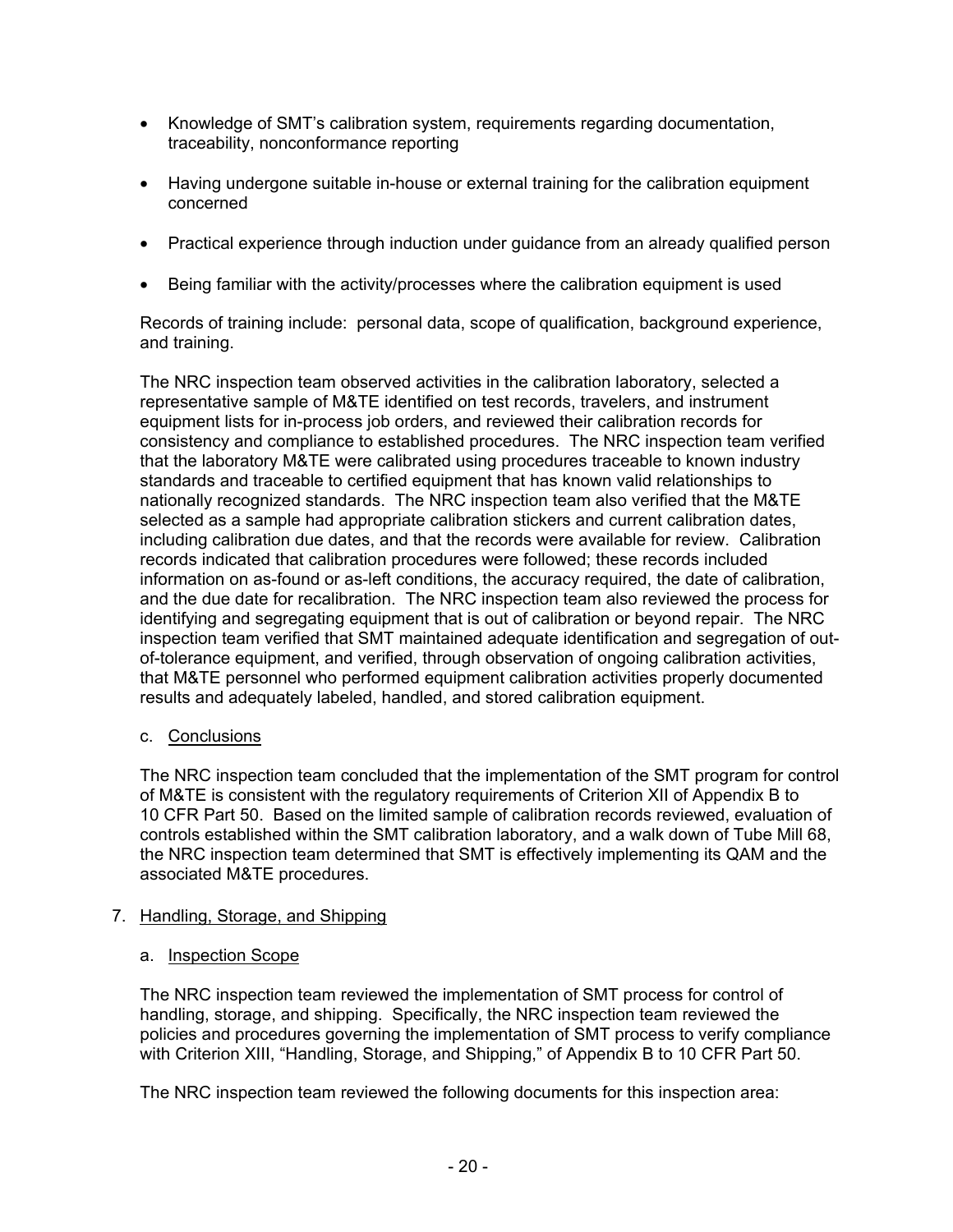- Knowledge of SMT's calibration system, requirements regarding documentation, traceability, nonconformance reporting
- Having undergone suitable in-house or external training for the calibration equipment concerned
- Practical experience through induction under guidance from an already qualified person
- Being familiar with the activity/processes where the calibration equipment is used

Records of training include: personal data, scope of qualification, background experience, and training.

The NRC inspection team observed activities in the calibration laboratory, selected a representative sample of M&TE identified on test records, travelers, and instrument equipment lists for in-process job orders, and reviewed their calibration records for consistency and compliance to established procedures. The NRC inspection team verified that the laboratory M&TE were calibrated using procedures traceable to known industry standards and traceable to certified equipment that has known valid relationships to nationally recognized standards. The NRC inspection team also verified that the M&TE selected as a sample had appropriate calibration stickers and current calibration dates, including calibration due dates, and that the records were available for review. Calibration records indicated that calibration procedures were followed; these records included information on as-found or as-left conditions, the accuracy required, the date of calibration, and the due date for recalibration. The NRC inspection team also reviewed the process for identifying and segregating equipment that is out of calibration or beyond repair. The NRC inspection team verified that SMT maintained adequate identification and segregation of outof-tolerance equipment, and verified, through observation of ongoing calibration activities, that M&TE personnel who performed equipment calibration activities properly documented results and adequately labeled, handled, and stored calibration equipment.

### c. Conclusions

The NRC inspection team concluded that the implementation of the SMT program for control of M&TE is consistent with the regulatory requirements of Criterion XII of Appendix B to 10 CFR Part 50. Based on the limited sample of calibration records reviewed, evaluation of controls established within the SMT calibration laboratory, and a walk down of Tube Mill 68, the NRC inspection team determined that SMT is effectively implementing its QAM and the associated M&TE procedures.

## 7. Handling, Storage, and Shipping

### a. Inspection Scope

The NRC inspection team reviewed the implementation of SMT process for control of handling, storage, and shipping. Specifically, the NRC inspection team reviewed the policies and procedures governing the implementation of SMT process to verify compliance with Criterion XIII, "Handling, Storage, and Shipping," of Appendix B to 10 CFR Part 50.

The NRC inspection team reviewed the following documents for this inspection area: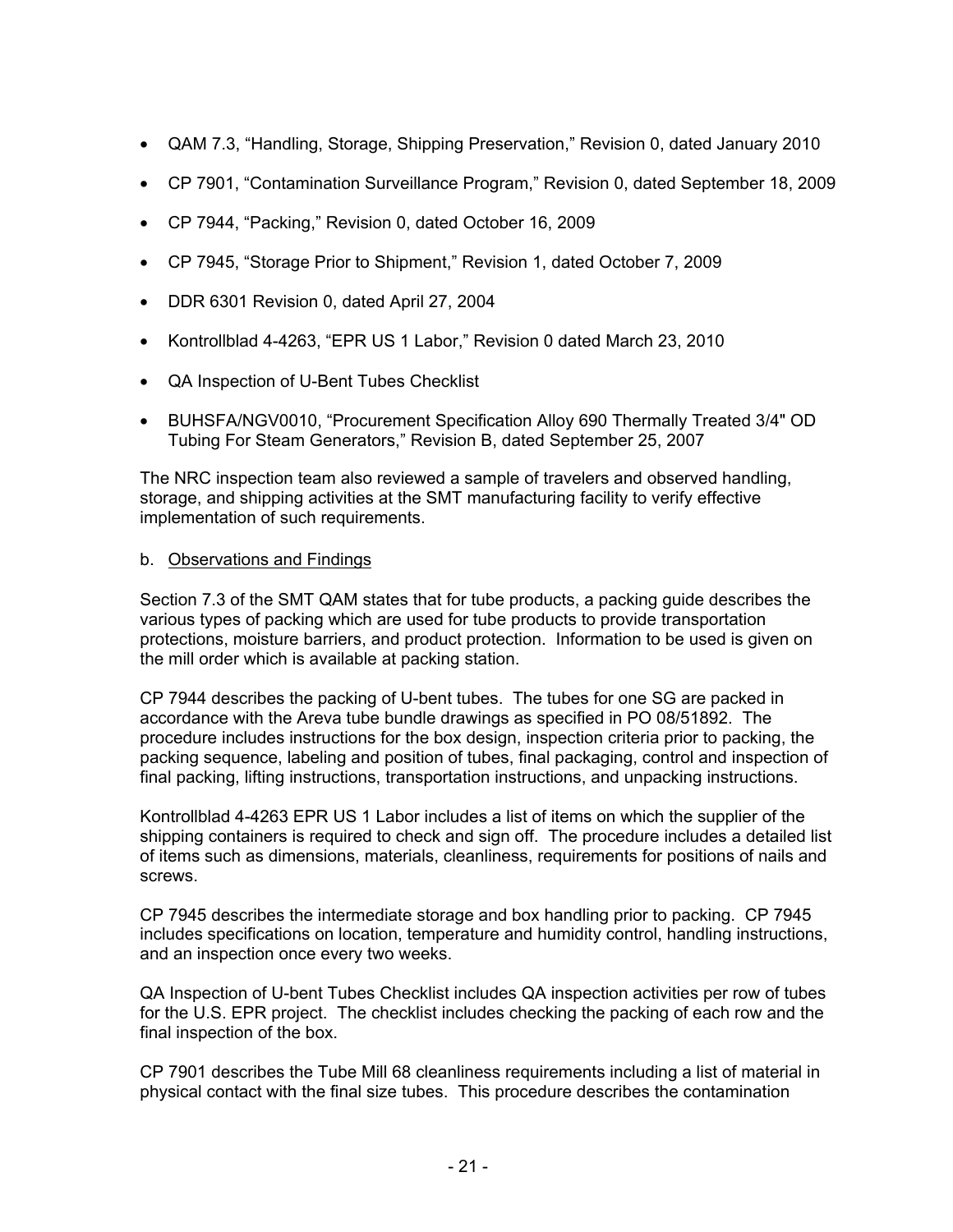- QAM 7.3, "Handling, Storage, Shipping Preservation," Revision 0, dated January 2010
- CP 7901, "Contamination Surveillance Program," Revision 0, dated September 18, 2009
- CP 7944, "Packing," Revision 0, dated October 16, 2009
- CP 7945, "Storage Prior to Shipment," Revision 1, dated October 7, 2009
- DDR 6301 Revision 0, dated April 27, 2004
- Kontrollblad 4-4263, "EPR US 1 Labor," Revision 0 dated March 23, 2010
- QA Inspection of U-Bent Tubes Checklist
- BUHSFA/NGV0010, "Procurement Specification Alloy 690 Thermally Treated 3/4" OD Tubing For Steam Generators," Revision B, dated September 25, 2007

The NRC inspection team also reviewed a sample of travelers and observed handling, storage, and shipping activities at the SMT manufacturing facility to verify effective implementation of such requirements.

#### b. Observations and Findings

Section 7.3 of the SMT QAM states that for tube products, a packing guide describes the various types of packing which are used for tube products to provide transportation protections, moisture barriers, and product protection. Information to be used is given on the mill order which is available at packing station.

CP 7944 describes the packing of U-bent tubes. The tubes for one SG are packed in accordance with the Areva tube bundle drawings as specified in PO 08/51892. The procedure includes instructions for the box design, inspection criteria prior to packing, the packing sequence, labeling and position of tubes, final packaging, control and inspection of final packing, lifting instructions, transportation instructions, and unpacking instructions.

Kontrollblad 4-4263 EPR US 1 Labor includes a list of items on which the supplier of the shipping containers is required to check and sign off. The procedure includes a detailed list of items such as dimensions, materials, cleanliness, requirements for positions of nails and screws.

CP 7945 describes the intermediate storage and box handling prior to packing. CP 7945 includes specifications on location, temperature and humidity control, handling instructions, and an inspection once every two weeks.

QA Inspection of U-bent Tubes Checklist includes QA inspection activities per row of tubes for the U.S. EPR project. The checklist includes checking the packing of each row and the final inspection of the box.

CP 7901 describes the Tube Mill 68 cleanliness requirements including a list of material in physical contact with the final size tubes. This procedure describes the contamination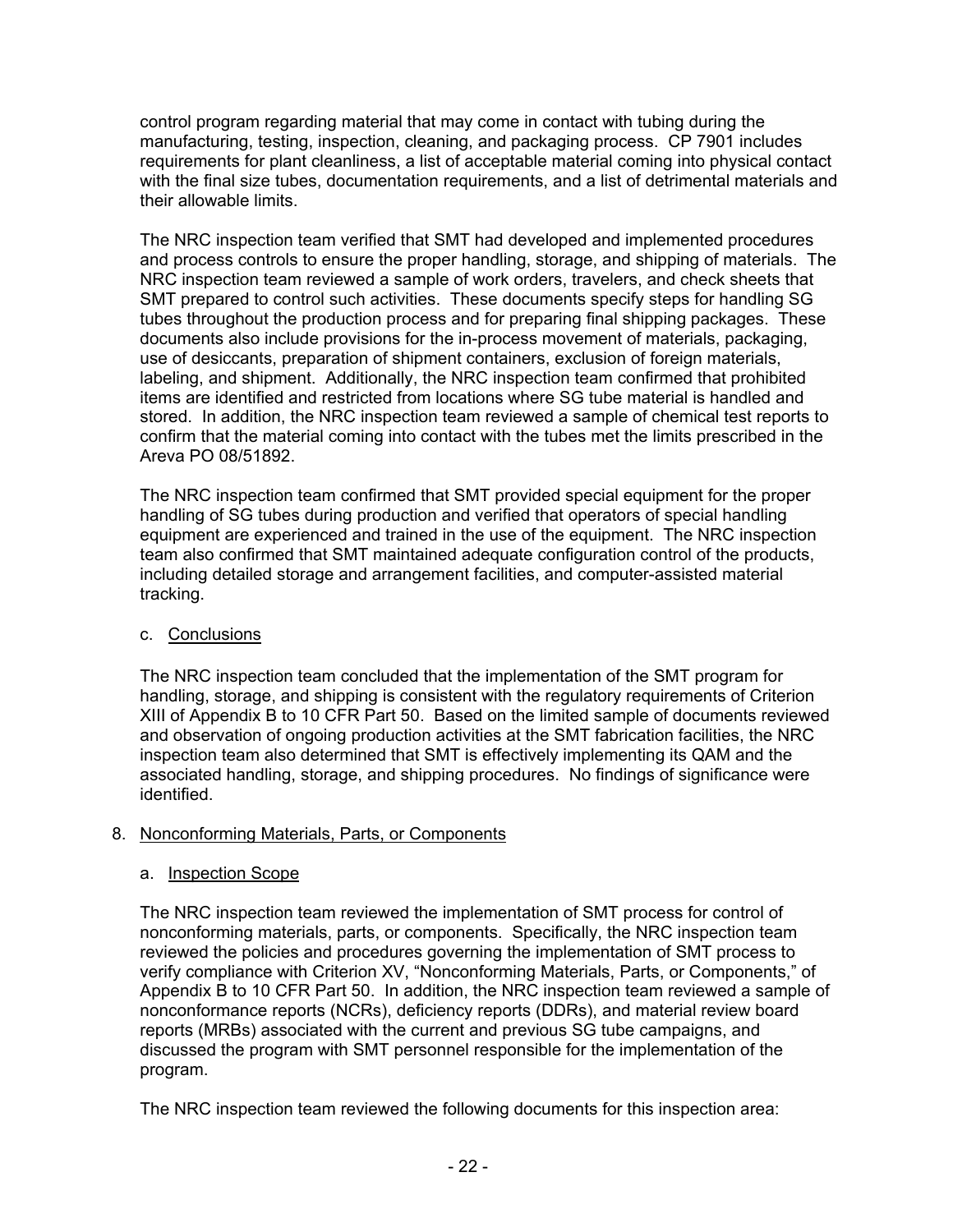control program regarding material that may come in contact with tubing during the manufacturing, testing, inspection, cleaning, and packaging process. CP 7901 includes requirements for plant cleanliness, a list of acceptable material coming into physical contact with the final size tubes, documentation requirements, and a list of detrimental materials and their allowable limits.

The NRC inspection team verified that SMT had developed and implemented procedures and process controls to ensure the proper handling, storage, and shipping of materials. The NRC inspection team reviewed a sample of work orders, travelers, and check sheets that SMT prepared to control such activities. These documents specify steps for handling SG tubes throughout the production process and for preparing final shipping packages. These documents also include provisions for the in-process movement of materials, packaging, use of desiccants, preparation of shipment containers, exclusion of foreign materials, labeling, and shipment. Additionally, the NRC inspection team confirmed that prohibited items are identified and restricted from locations where SG tube material is handled and stored. In addition, the NRC inspection team reviewed a sample of chemical test reports to confirm that the material coming into contact with the tubes met the limits prescribed in the Areva PO 08/51892.

The NRC inspection team confirmed that SMT provided special equipment for the proper handling of SG tubes during production and verified that operators of special handling equipment are experienced and trained in the use of the equipment. The NRC inspection team also confirmed that SMT maintained adequate configuration control of the products, including detailed storage and arrangement facilities, and computer-assisted material tracking.

## c. Conclusions

The NRC inspection team concluded that the implementation of the SMT program for handling, storage, and shipping is consistent with the regulatory requirements of Criterion XIII of Appendix B to 10 CFR Part 50. Based on the limited sample of documents reviewed and observation of ongoing production activities at the SMT fabrication facilities, the NRC inspection team also determined that SMT is effectively implementing its QAM and the associated handling, storage, and shipping procedures. No findings of significance were identified.

## 8. Nonconforming Materials, Parts, or Components

## a. Inspection Scope

The NRC inspection team reviewed the implementation of SMT process for control of nonconforming materials, parts, or components. Specifically, the NRC inspection team reviewed the policies and procedures governing the implementation of SMT process to verify compliance with Criterion XV, "Nonconforming Materials, Parts, or Components," of Appendix B to 10 CFR Part 50. In addition, the NRC inspection team reviewed a sample of nonconformance reports (NCRs), deficiency reports (DDRs), and material review board reports (MRBs) associated with the current and previous SG tube campaigns, and discussed the program with SMT personnel responsible for the implementation of the program.

The NRC inspection team reviewed the following documents for this inspection area: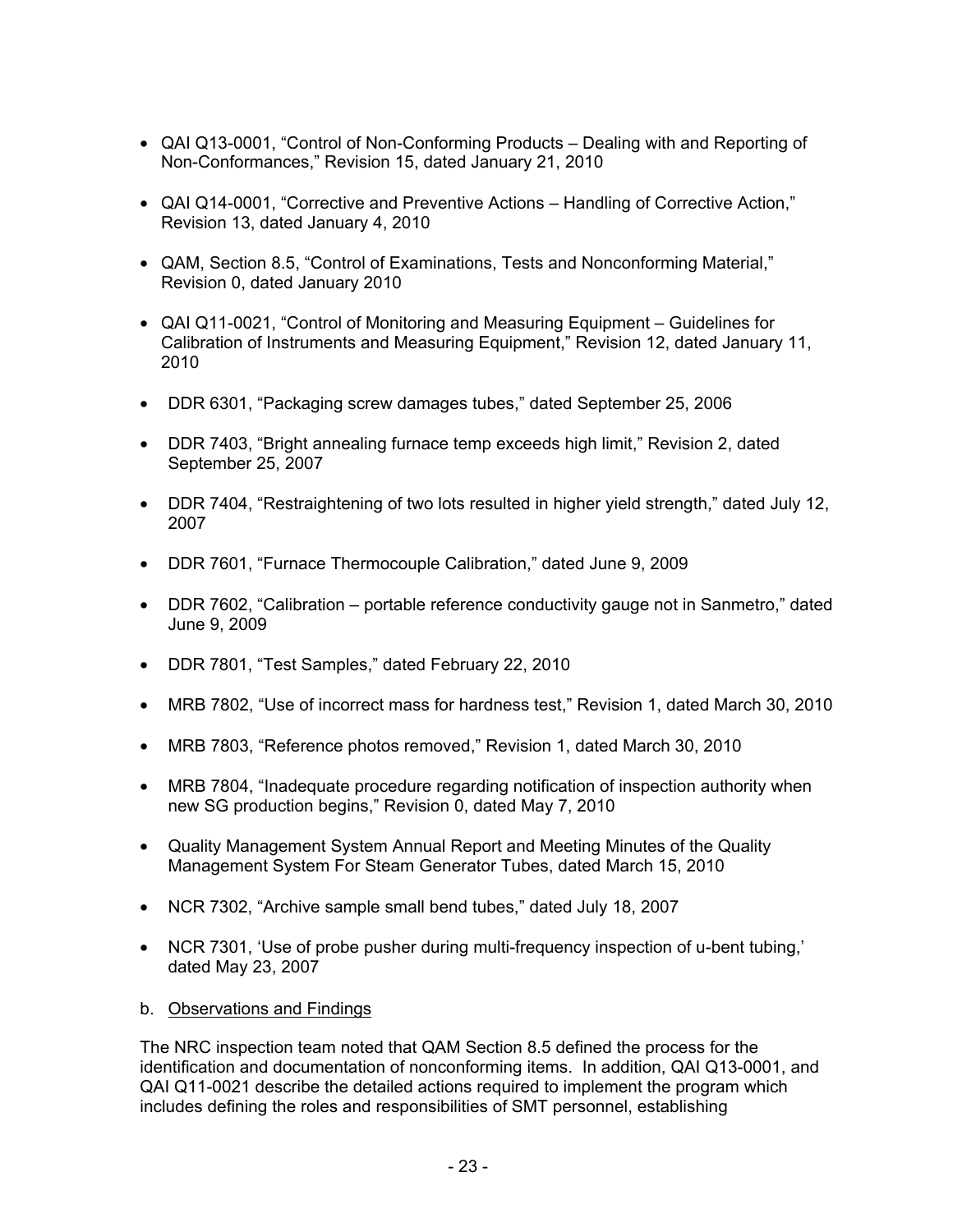- QAI Q13-0001, "Control of Non-Conforming Products Dealing with and Reporting of Non-Conformances," Revision 15, dated January 21, 2010
- QAI Q14-0001, "Corrective and Preventive Actions Handling of Corrective Action," Revision 13, dated January 4, 2010
- QAM, Section 8.5, "Control of Examinations, Tests and Nonconforming Material," Revision 0, dated January 2010
- QAI Q11-0021, "Control of Monitoring and Measuring Equipment Guidelines for Calibration of Instruments and Measuring Equipment," Revision 12, dated January 11, 2010
- DDR 6301, "Packaging screw damages tubes," dated September 25, 2006
- DDR 7403, "Bright annealing furnace temp exceeds high limit," Revision 2, dated September 25, 2007
- DDR 7404, "Restraightening of two lots resulted in higher yield strength," dated July 12, 2007
- DDR 7601, "Furnace Thermocouple Calibration," dated June 9, 2009
- DDR 7602, "Calibration portable reference conductivity gauge not in Sanmetro," dated June 9, 2009
- DDR 7801, "Test Samples," dated February 22, 2010
- MRB 7802, "Use of incorrect mass for hardness test," Revision 1, dated March 30, 2010
- MRB 7803, "Reference photos removed," Revision 1, dated March 30, 2010
- MRB 7804, "Inadequate procedure regarding notification of inspection authority when new SG production begins," Revision 0, dated May 7, 2010
- Quality Management System Annual Report and Meeting Minutes of the Quality Management System For Steam Generator Tubes, dated March 15, 2010
- NCR 7302, "Archive sample small bend tubes," dated July 18, 2007
- NCR 7301, 'Use of probe pusher during multi-frequency inspection of u-bent tubing,' dated May 23, 2007
- b. Observations and Findings

The NRC inspection team noted that QAM Section 8.5 defined the process for the identification and documentation of nonconforming items. In addition, QAI Q13-0001, and QAI Q11-0021 describe the detailed actions required to implement the program which includes defining the roles and responsibilities of SMT personnel, establishing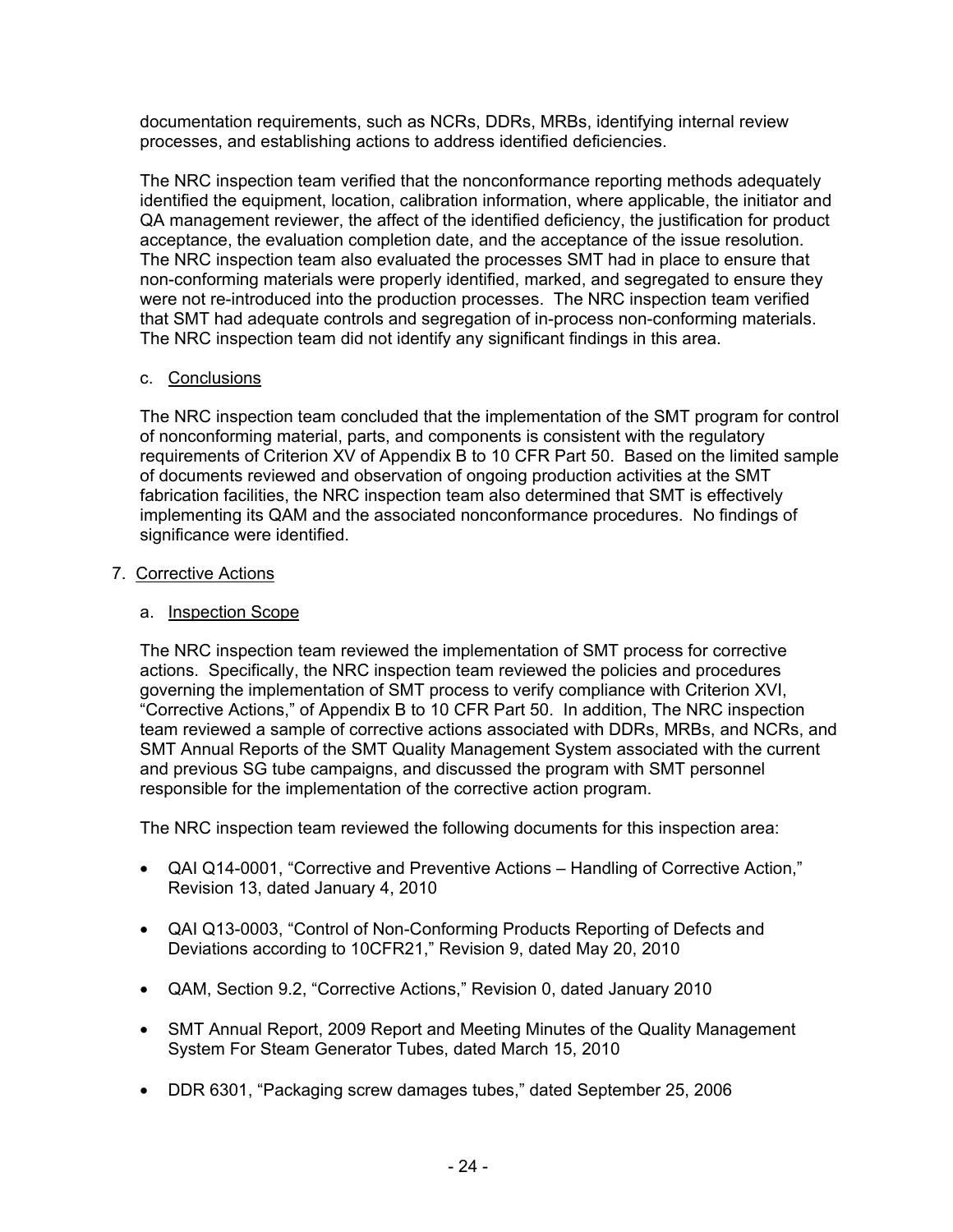documentation requirements, such as NCRs, DDRs, MRBs, identifying internal review processes, and establishing actions to address identified deficiencies.

The NRC inspection team verified that the nonconformance reporting methods adequately identified the equipment, location, calibration information, where applicable, the initiator and QA management reviewer, the affect of the identified deficiency, the justification for product acceptance, the evaluation completion date, and the acceptance of the issue resolution. The NRC inspection team also evaluated the processes SMT had in place to ensure that non-conforming materials were properly identified, marked, and segregated to ensure they were not re-introduced into the production processes. The NRC inspection team verified that SMT had adequate controls and segregation of in-process non-conforming materials. The NRC inspection team did not identify any significant findings in this area.

### c. Conclusions

The NRC inspection team concluded that the implementation of the SMT program for control of nonconforming material, parts, and components is consistent with the regulatory requirements of Criterion XV of Appendix B to 10 CFR Part 50. Based on the limited sample of documents reviewed and observation of ongoing production activities at the SMT fabrication facilities, the NRC inspection team also determined that SMT is effectively implementing its QAM and the associated nonconformance procedures. No findings of significance were identified.

### 7. Corrective Actions

### a. Inspection Scope

The NRC inspection team reviewed the implementation of SMT process for corrective actions. Specifically, the NRC inspection team reviewed the policies and procedures governing the implementation of SMT process to verify compliance with Criterion XVI, "Corrective Actions," of Appendix B to 10 CFR Part 50. In addition, The NRC inspection team reviewed a sample of corrective actions associated with DDRs, MRBs, and NCRs, and SMT Annual Reports of the SMT Quality Management System associated with the current and previous SG tube campaigns, and discussed the program with SMT personnel responsible for the implementation of the corrective action program.

The NRC inspection team reviewed the following documents for this inspection area:

- QAI Q14-0001, "Corrective and Preventive Actions Handling of Corrective Action," Revision 13, dated January 4, 2010
- QAI Q13-0003, "Control of Non-Conforming Products Reporting of Defects and Deviations according to 10CFR21," Revision 9, dated May 20, 2010
- QAM, Section 9.2, "Corrective Actions," Revision 0, dated January 2010
- SMT Annual Report, 2009 Report and Meeting Minutes of the Quality Management System For Steam Generator Tubes, dated March 15, 2010
- DDR 6301, "Packaging screw damages tubes," dated September 25, 2006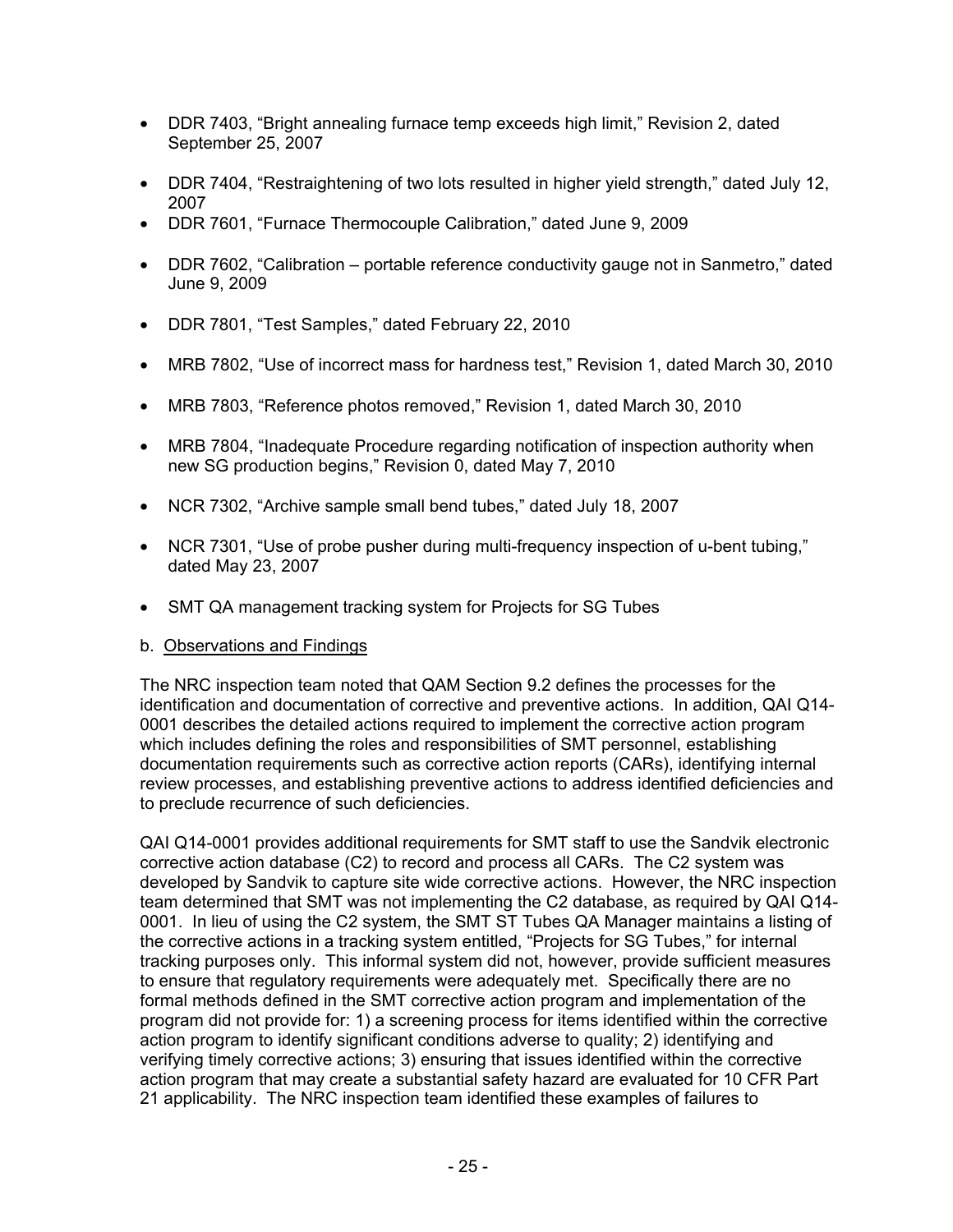- DDR 7403, "Bright annealing furnace temp exceeds high limit," Revision 2, dated September 25, 2007
- DDR 7404, "Restraightening of two lots resulted in higher yield strength," dated July 12, 2007
- DDR 7601, "Furnace Thermocouple Calibration," dated June 9, 2009
- DDR 7602, "Calibration portable reference conductivity gauge not in Sanmetro," dated June 9, 2009
- DDR 7801, "Test Samples," dated February 22, 2010
- MRB 7802, "Use of incorrect mass for hardness test," Revision 1, dated March 30, 2010
- MRB 7803, "Reference photos removed," Revision 1, dated March 30, 2010
- MRB 7804, "Inadequate Procedure regarding notification of inspection authority when new SG production begins," Revision 0, dated May 7, 2010
- NCR 7302, "Archive sample small bend tubes," dated July 18, 2007
- NCR 7301, "Use of probe pusher during multi-frequency inspection of u-bent tubing," dated May 23, 2007
- SMT QA management tracking system for Projects for SG Tubes

## b. Observations and Findings

The NRC inspection team noted that QAM Section 9.2 defines the processes for the identification and documentation of corrective and preventive actions. In addition, QAI Q14- 0001 describes the detailed actions required to implement the corrective action program which includes defining the roles and responsibilities of SMT personnel, establishing documentation requirements such as corrective action reports (CARs), identifying internal review processes, and establishing preventive actions to address identified deficiencies and to preclude recurrence of such deficiencies.

QAI Q14-0001 provides additional requirements for SMT staff to use the Sandvik electronic corrective action database (C2) to record and process all CARs. The C2 system was developed by Sandvik to capture site wide corrective actions. However, the NRC inspection team determined that SMT was not implementing the C2 database, as required by QAI Q14- 0001. In lieu of using the C2 system, the SMT ST Tubes QA Manager maintains a listing of the corrective actions in a tracking system entitled, "Projects for SG Tubes," for internal tracking purposes only. This informal system did not, however, provide sufficient measures to ensure that regulatory requirements were adequately met. Specifically there are no formal methods defined in the SMT corrective action program and implementation of the program did not provide for: 1) a screening process for items identified within the corrective action program to identify significant conditions adverse to quality; 2) identifying and verifying timely corrective actions; 3) ensuring that issues identified within the corrective action program that may create a substantial safety hazard are evaluated for 10 CFR Part 21 applicability. The NRC inspection team identified these examples of failures to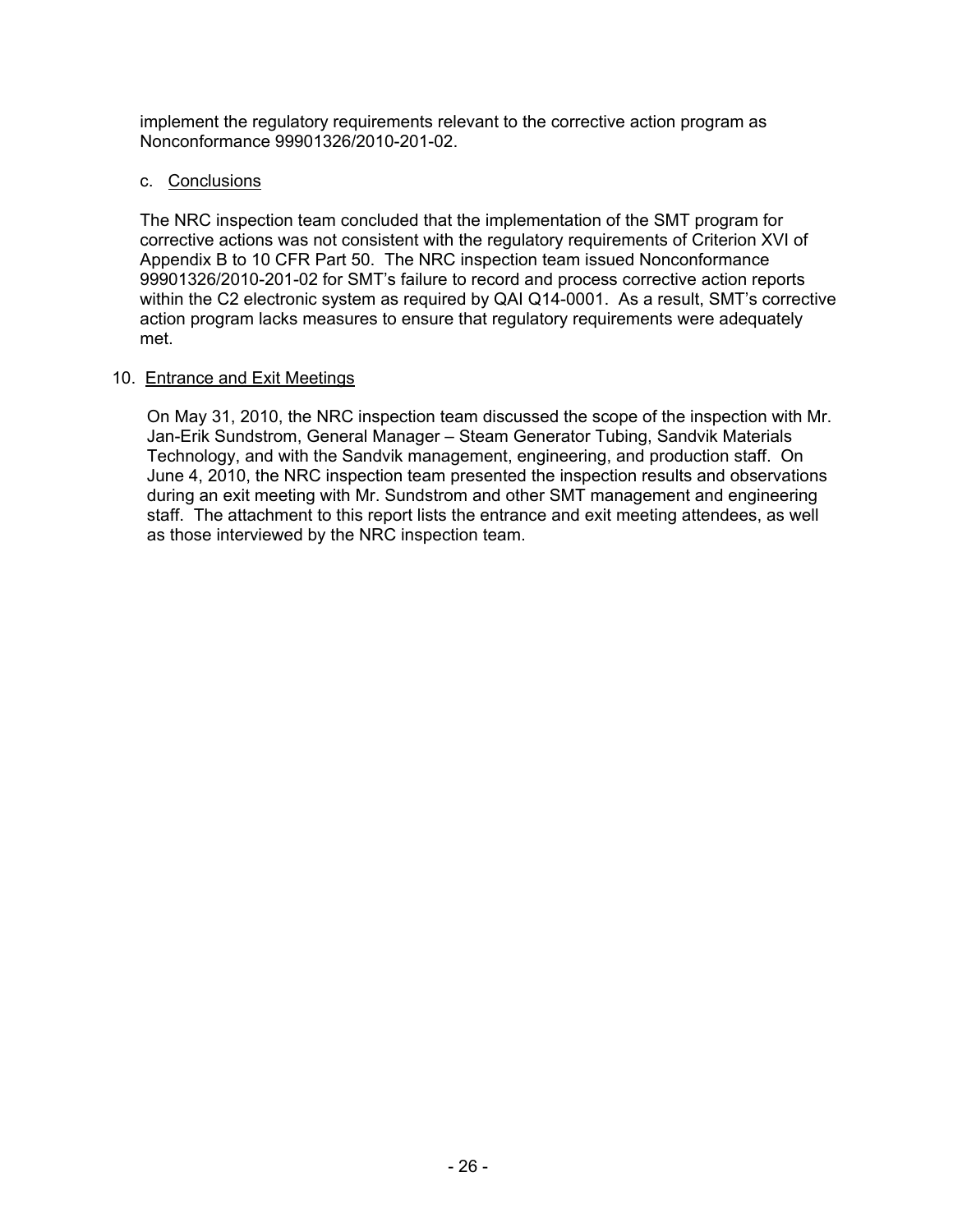implement the regulatory requirements relevant to the corrective action program as Nonconformance 99901326/2010-201-02.

#### c. Conclusions

The NRC inspection team concluded that the implementation of the SMT program for corrective actions was not consistent with the regulatory requirements of Criterion XVI of Appendix B to 10 CFR Part 50. The NRC inspection team issued Nonconformance 99901326/2010-201-02 for SMT's failure to record and process corrective action reports within the C2 electronic system as required by QAI Q14-0001. As a result, SMT's corrective action program lacks measures to ensure that regulatory requirements were adequately met.

#### 10. Entrance and Exit Meetings

On May 31, 2010, the NRC inspection team discussed the scope of the inspection with Mr. Jan-Erik Sundstrom, General Manager – Steam Generator Tubing, Sandvik Materials Technology, and with the Sandvik management, engineering, and production staff. On June 4, 2010, the NRC inspection team presented the inspection results and observations during an exit meeting with Mr. Sundstrom and other SMT management and engineering staff. The attachment to this report lists the entrance and exit meeting attendees, as well as those interviewed by the NRC inspection team.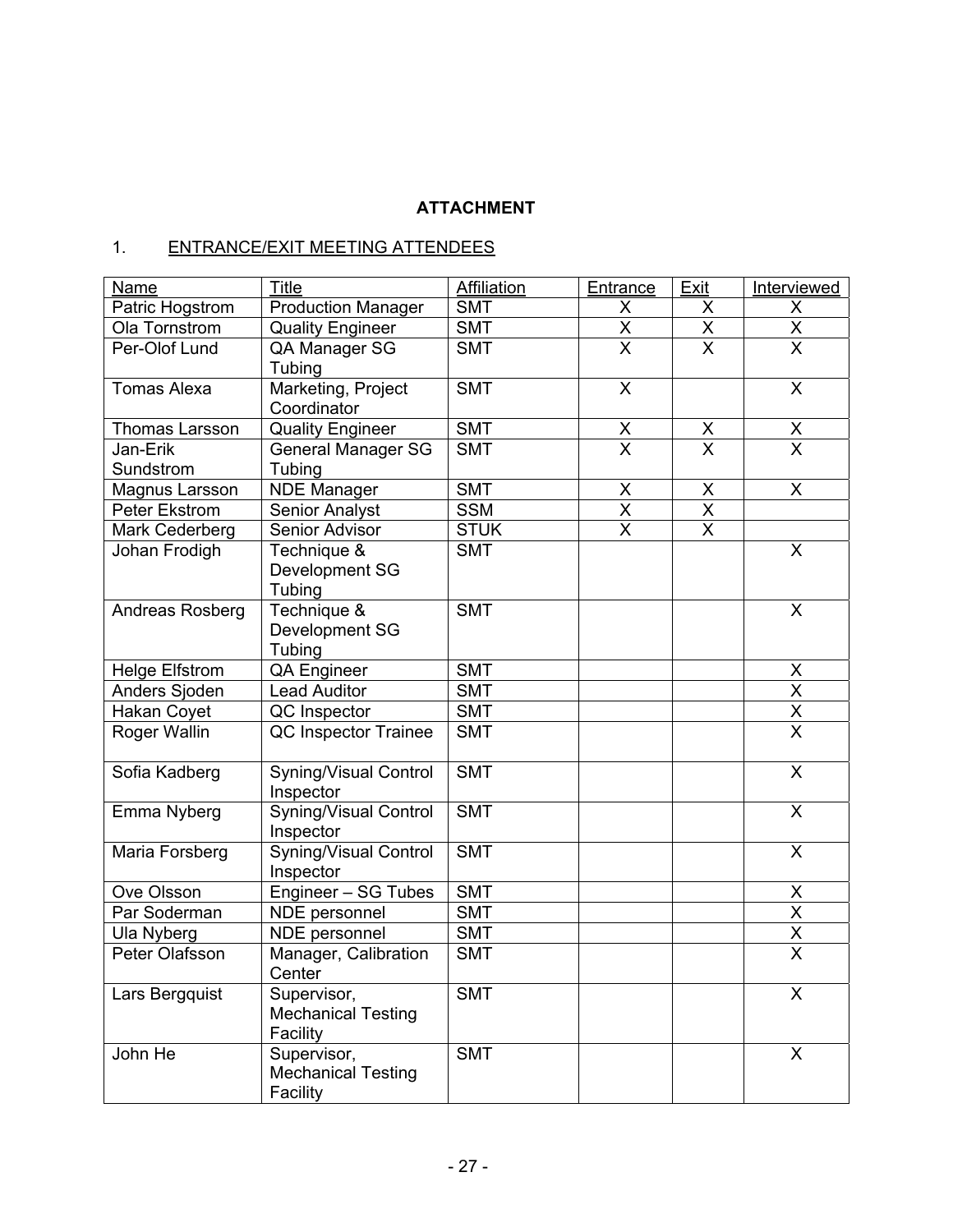# **ATTACHMENT**

# 1. ENTRANCE/EXIT MEETING ATTENDEES

| <b>Name</b>           | Title                                                | <b>Affiliation</b> | Entrance                        | Exit                    | Interviewed                         |
|-----------------------|------------------------------------------------------|--------------------|---------------------------------|-------------------------|-------------------------------------|
| Patric Hogstrom       | <b>Production Manager</b>                            | <b>SMT</b>         | X                               | X                       | X                                   |
| Ola Tornstrom         | <b>Quality Engineer</b>                              | <b>SMT</b>         | $\frac{\mathsf{X}}{\mathsf{X}}$ | X                       | $\frac{\overline{X}}{\overline{X}}$ |
| Per-Olof Lund         | QA Manager SG<br>Tubing                              | <b>SMT</b>         |                                 | $\overline{\mathsf{x}}$ |                                     |
| <b>Tomas Alexa</b>    | Marketing, Project<br>Coordinator                    | <b>SMT</b>         | X                               |                         | $\sf X$                             |
| Thomas Larsson        | <b>Quality Engineer</b>                              | <b>SMT</b>         | $\mathsf X$                     | $\times$                | $\overline{\mathsf{X}}$             |
| Jan-Erik<br>Sundstrom | <b>General Manager SG</b><br>Tubing                  | <b>SMT</b>         | $\overline{\mathsf{x}}$         | $\overline{\mathsf{x}}$ | $\overline{\mathsf{x}}$             |
| Magnus Larsson        | <b>NDE</b> Manager                                   | <b>SMT</b>         | X                               | $\sf X$                 | $\mathsf{X}$                        |
| Peter Ekstrom         | <b>Senior Analyst</b>                                | <b>SSM</b>         | $\pmb{\mathsf{X}}$              | $\pmb{\mathsf{X}}$      |                                     |
| Mark Cederberg        | Senior Advisor                                       | <b>STUK</b>        | $\overline{\mathsf{X}}$         | $\overline{\mathsf{x}}$ |                                     |
| Johan Frodigh         | Technique &<br>Development SG<br>Tubing              | <b>SMT</b>         |                                 |                         | $\overline{\mathsf{x}}$             |
| Andreas Rosberg       | Technique &<br>Development SG<br>Tubing              | <b>SMT</b>         |                                 |                         | X                                   |
| <b>Helge Elfstrom</b> | QA Engineer                                          | <b>SMT</b>         |                                 |                         | X                                   |
| Anders Sjoden         | <b>Lead Auditor</b>                                  | <b>SMT</b>         |                                 |                         |                                     |
| Hakan Coyet           | QC Inspector                                         | <b>SMT</b>         |                                 |                         | $\times$ $\times$                   |
| Roger Wallin          | QC Inspector Trainee                                 | <b>SMT</b>         |                                 |                         |                                     |
| Sofia Kadberg         | <b>Syning/Visual Control</b><br>Inspector            | <b>SMT</b>         |                                 |                         | $\overline{\mathsf{x}}$             |
| Emma Nyberg           | <b>Syning/Visual Control</b><br>Inspector            | <b>SMT</b>         |                                 |                         | X                                   |
| Maria Forsberg        | <b>Syning/Visual Control</b><br>Inspector            | <b>SMT</b>         |                                 |                         | X                                   |
| Ove Olsson            | Engineer - SG Tubes                                  | <b>SMT</b>         |                                 |                         | $\frac{\mathsf{X}}{\mathsf{X}}$     |
| Par Soderman          | NDE personnel                                        | <b>SMT</b>         |                                 |                         |                                     |
| Ula Nyberg            | NDE personnel                                        | <b>SMT</b>         |                                 |                         | $\frac{\overline{X}}{\overline{X}}$ |
| Peter Olafsson        | Manager, Calibration<br>Center                       | <b>SMT</b>         |                                 |                         |                                     |
| Lars Bergquist        | Supervisor,<br><b>Mechanical Testing</b><br>Facility | <b>SMT</b>         |                                 |                         | X                                   |
| John He               | Supervisor,<br><b>Mechanical Testing</b><br>Facility | <b>SMT</b>         |                                 |                         | X                                   |